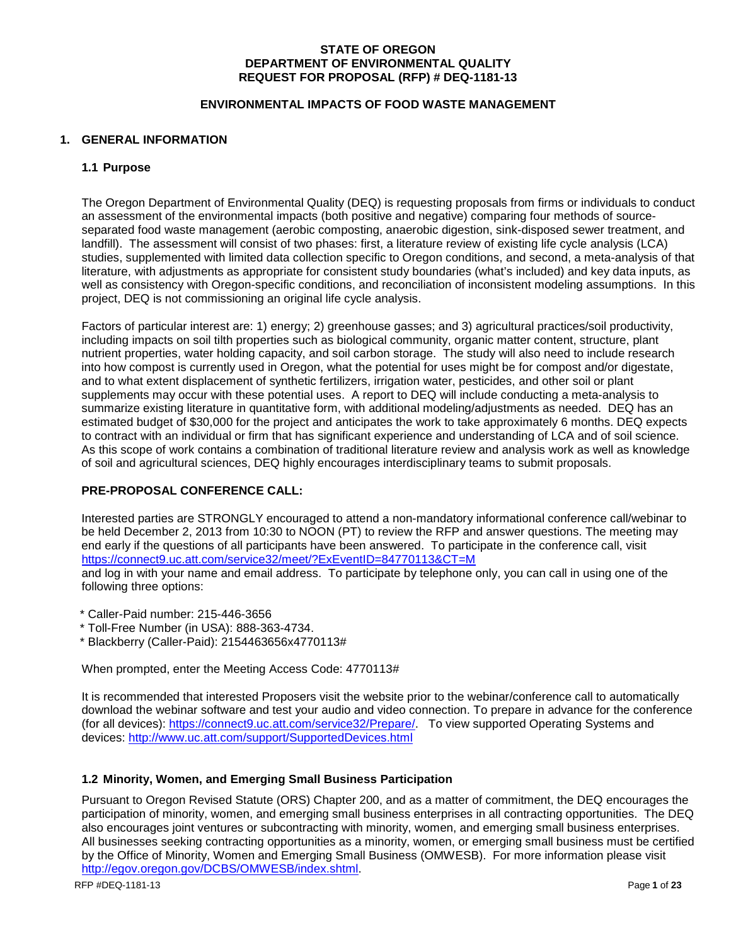# **STATE OF OREGON DEPARTMENT OF ENVIRONMENTAL QUALITY REQUEST FOR PROPOSAL (RFP) # DEQ-1181-13**

### **ENVIRONMENTAL IMPACTS OF FOOD WASTE MANAGEMENT**

### **1. GENERAL INFORMATION**

### **1.1 Purpose**

The Oregon Department of Environmental Quality (DEQ) is requesting proposals from firms or individuals to conduct an assessment of the environmental impacts (both positive and negative) comparing four methods of sourceseparated food waste management (aerobic composting, anaerobic digestion, sink-disposed sewer treatment, and landfill). The assessment will consist of two phases: first, a literature review of existing life cycle analysis (LCA) studies, supplemented with limited data collection specific to Oregon conditions, and second, a meta-analysis of that literature, with adjustments as appropriate for consistent study boundaries (what's included) and key data inputs, as well as consistency with Oregon-specific conditions, and reconciliation of inconsistent modeling assumptions. In this project, DEQ is not commissioning an original life cycle analysis.

Factors of particular interest are: 1) energy; 2) greenhouse gasses; and 3) agricultural practices/soil productivity, including impacts on soil tilth properties such as biological community, organic matter content, structure, plant nutrient properties, water holding capacity, and soil carbon storage. The study will also need to include research into how compost is currently used in Oregon, what the potential for uses might be for compost and/or digestate, and to what extent displacement of synthetic fertilizers, irrigation water, pesticides, and other soil or plant supplements may occur with these potential uses. A report to DEQ will include conducting a meta-analysis to summarize existing literature in quantitative form, with additional modeling/adjustments as needed. DEQ has an estimated budget of \$30,000 for the project and anticipates the work to take approximately 6 months. DEQ expects to contract with an individual or firm that has significant experience and understanding of LCA and of soil science. As this scope of work contains a combination of traditional literature review and analysis work as well as knowledge of soil and agricultural sciences, DEQ highly encourages interdisciplinary teams to submit proposals.

# **PRE-PROPOSAL CONFERENCE CALL:**

Interested parties are STRONGLY encouraged to attend a non-mandatory informational conference call/webinar to be held December 2, 2013 from 10:30 to NOON (PT) to review the RFP and answer questions. The meeting may end early if the questions of all participants have been answered. To participate in the conference call, visit <https://connect9.uc.att.com/service32/meet/?ExEventID=84770113&CT=M>

and log in with your name and email address. To participate by telephone only, you can call in using one of the following three options:

- \* Caller-Paid number: 215-446-3656
- \* Toll-Free Number (in USA): 888-363-4734.
- \* Blackberry (Caller-Paid): 2154463656x4770113#

When prompted, enter the Meeting Access Code: 4770113#

It is recommended that interested Proposers visit the website prior to the webinar/conference call to automatically download the webinar software and test your audio and video connection. To prepare in advance for the conference (for all devices): [https://connect9.uc.att.com/service32/Prepare/.](https://connect9.uc.att.com/service32/Prepare/) To view supported Operating Systems and devices:<http://www.uc.att.com/support/SupportedDevices.html>

# **1.2 Minority, Women, and Emerging Small Business Participation**

Pursuant to Oregon Revised Statute (ORS) Chapter 200, and as a matter of commitment, the DEQ encourages the participation of minority, women, and emerging small business enterprises in all contracting opportunities. The DEQ also encourages joint ventures or subcontracting with minority, women, and emerging small business enterprises. All businesses seeking contracting opportunities as a minority, women, or emerging small business must be certified by the Office of Minority, Women and Emerging Small Business (OMWESB). For more information please visit [http://egov.oregon.gov/DCBS/OMWESB/index.shtml.](http://egov.oregon.gov/DCBS/OMWESB/index.shtml)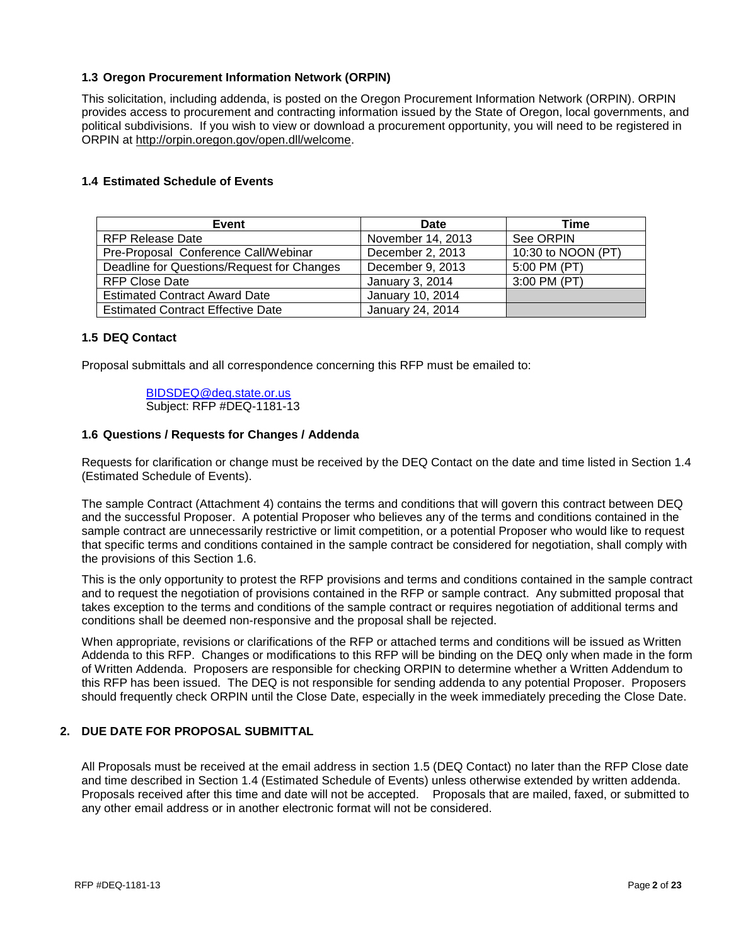# **1.3 Oregon Procurement Information Network (ORPIN)**

This solicitation, including addenda, is posted on the Oregon Procurement Information Network (ORPIN). ORPIN provides access to procurement and contracting information issued by the State of Oregon, local governments, and political subdivisions. If you wish to view or download a procurement opportunity, you will need to be registered in ORPIN at [http://orpin.oregon.gov/open.dll/welcome.](http://orpin.oregon.gov/open.dll/welcome)

# **1.4 Estimated Schedule of Events**

| Event                                      | Date              | Time               |
|--------------------------------------------|-------------------|--------------------|
| RFP Release Date                           | November 14, 2013 | See ORPIN          |
| Pre-Proposal Conference Call/Webinar       | December 2, 2013  | 10:30 to NOON (PT) |
| Deadline for Questions/Request for Changes | December 9, 2013  | 5:00 PM (PT)       |
| <b>RFP Close Date</b>                      | January 3, 2014   | 3:00 PM (PT)       |
| <b>Estimated Contract Award Date</b>       | January 10, 2014  |                    |
| <b>Estimated Contract Effective Date</b>   | January 24, 2014  |                    |

# **1.5 DEQ Contact**

Proposal submittals and all correspondence concerning this RFP must be emailed to:

### [BIDSDEQ@deq.state.or.us](mailto:BIDSDEQ@deq.state.or.us) Subject: RFP #DEQ-1181-13

# **1.6 Questions / Requests for Changes / Addenda**

Requests for clarification or change must be received by the DEQ Contact on the date and time listed in Section 1.4 (Estimated Schedule of Events).

The sample Contract (Attachment 4) contains the terms and conditions that will govern this contract between DEQ and the successful Proposer. A potential Proposer who believes any of the terms and conditions contained in the sample contract are unnecessarily restrictive or limit competition, or a potential Proposer who would like to request that specific terms and conditions contained in the sample contract be considered for negotiation, shall comply with the provisions of this Section 1.6.

This is the only opportunity to protest the RFP provisions and terms and conditions contained in the sample contract and to request the negotiation of provisions contained in the RFP or sample contract. Any submitted proposal that takes exception to the terms and conditions of the sample contract or requires negotiation of additional terms and conditions shall be deemed non-responsive and the proposal shall be rejected.

When appropriate, revisions or clarifications of the RFP or attached terms and conditions will be issued as Written Addenda to this RFP. Changes or modifications to this RFP will be binding on the DEQ only when made in the form of Written Addenda. Proposers are responsible for checking ORPIN to determine whether a Written Addendum to this RFP has been issued. The DEQ is not responsible for sending addenda to any potential Proposer. Proposers should frequently check ORPIN until the Close Date, especially in the week immediately preceding the Close Date.

# **2. DUE DATE FOR PROPOSAL SUBMITTAL**

All Proposals must be received at the email address in section 1.5 (DEQ Contact) no later than the RFP Close date and time described in Section 1.4 (Estimated Schedule of Events) unless otherwise extended by written addenda. Proposals received after this time and date will not be accepted. Proposals that are mailed, faxed, or submitted to any other email address or in another electronic format will not be considered.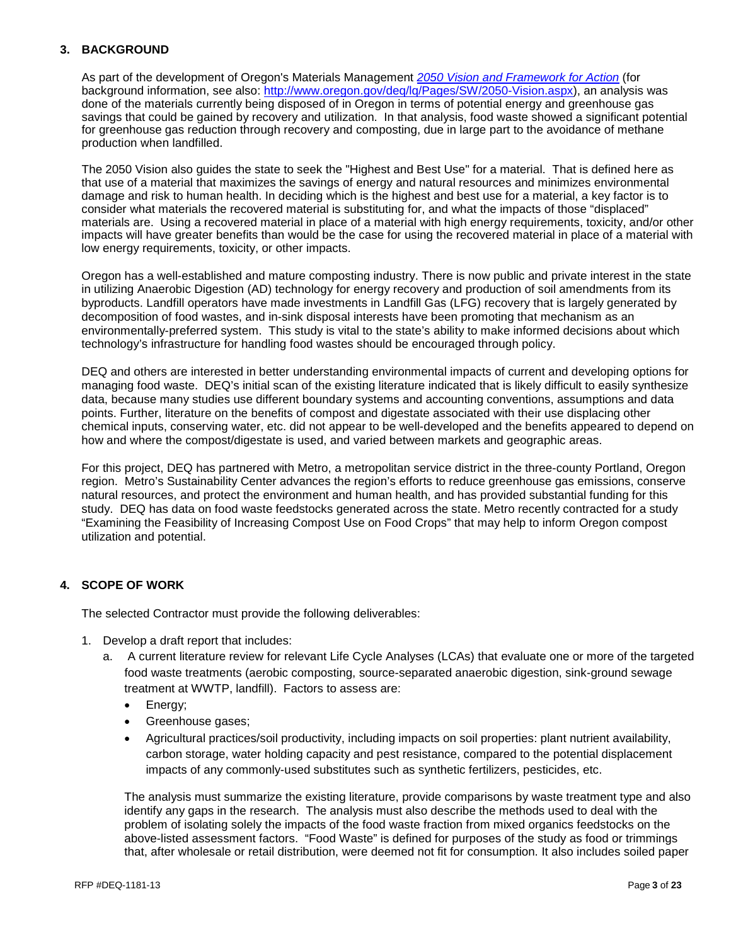# **3. BACKGROUND**

As part of the development of Oregon's Materials Management *[2050 Vision and Framework for Action](http://www.deq.state.or.us/lq/pubs/docs/sw/2050vision/MaterialsManagementinOregon.pdf)* (for background information, see also: [http://www.oregon.gov/deq/lq/Pages/SW/2050-Vision.aspx\)](http://www.oregon.gov/deq/lq/Pages/SW/2050-Vision.aspx), an analysis was done of the materials currently being disposed of in Oregon in terms of potential energy and greenhouse gas savings that could be gained by recovery and utilization. In that analysis, food waste showed a significant potential for greenhouse gas reduction through recovery and composting, due in large part to the avoidance of methane production when landfilled.

The 2050 Vision also guides the state to seek the "Highest and Best Use" for a material. That is defined here as that use of a material that maximizes the savings of energy and natural resources and minimizes environmental damage and risk to human health. In deciding which is the highest and best use for a material, a key factor is to consider what materials the recovered material is substituting for, and what the impacts of those "displaced" materials are. Using a recovered material in place of a material with high energy requirements, toxicity, and/or other impacts will have greater benefits than would be the case for using the recovered material in place of a material with low energy requirements, toxicity, or other impacts.

Oregon has a well-established and mature composting industry. There is now public and private interest in the state in utilizing Anaerobic Digestion (AD) technology for energy recovery and production of soil amendments from its byproducts. Landfill operators have made investments in Landfill Gas (LFG) recovery that is largely generated by decomposition of food wastes, and in-sink disposal interests have been promoting that mechanism as an environmentally-preferred system. This study is vital to the state's ability to make informed decisions about which technology's infrastructure for handling food wastes should be encouraged through policy.

DEQ and others are interested in better understanding environmental impacts of current and developing options for managing food waste. DEQ's initial scan of the existing literature indicated that is likely difficult to easily synthesize data, because many studies use different boundary systems and accounting conventions, assumptions and data points. Further, literature on the benefits of compost and digestate associated with their use displacing other chemical inputs, conserving water, etc. did not appear to be well-developed and the benefits appeared to depend on how and where the compost/digestate is used, and varied between markets and geographic areas.

For this project, DEQ has partnered with Metro, a metropolitan service district in the three-county Portland, Oregon region. Metro's Sustainability Center advances the region's efforts to reduce greenhouse gas emissions, conserve natural resources, and protect the environment and human health, and has provided substantial funding for this study. DEQ has data on food waste feedstocks generated across the state. Metro recently contracted for a study "Examining the Feasibility of Increasing Compost Use on Food Crops" that may help to inform Oregon compost utilization and potential.

# **4. SCOPE OF WORK**

The selected Contractor must provide the following deliverables:

- 1. Develop a draft report that includes:
	- a. A current literature review for relevant Life Cycle Analyses (LCAs) that evaluate one or more of the targeted food waste treatments (aerobic composting, source-separated anaerobic digestion, sink-ground sewage treatment at WWTP, landfill). Factors to assess are:
		- Energy;
		- Greenhouse gases;
		- Agricultural practices/soil productivity, including impacts on soil properties: plant nutrient availability, carbon storage, water holding capacity and pest resistance, compared to the potential displacement impacts of any commonly-used substitutes such as synthetic fertilizers, pesticides, etc.

The analysis must summarize the existing literature, provide comparisons by waste treatment type and also identify any gaps in the research. The analysis must also describe the methods used to deal with the problem of isolating solely the impacts of the food waste fraction from mixed organics feedstocks on the above-listed assessment factors. "Food Waste" is defined for purposes of the study as food or trimmings that, after wholesale or retail distribution, were deemed not fit for consumption. It also includes soiled paper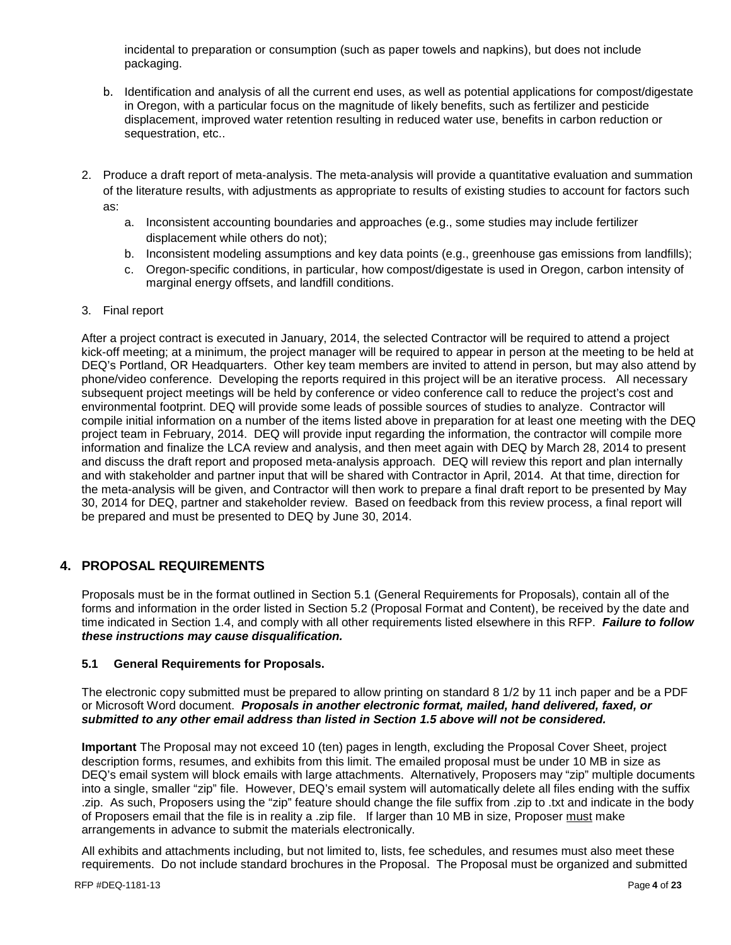incidental to preparation or consumption (such as paper towels and napkins), but does not include packaging.

- b. Identification and analysis of all the current end uses, as well as potential applications for compost/digestate in Oregon, with a particular focus on the magnitude of likely benefits, such as fertilizer and pesticide displacement, improved water retention resulting in reduced water use, benefits in carbon reduction or sequestration, etc..
- 2. Produce a draft report of meta-analysis. The meta-analysis will provide a quantitative evaluation and summation of the literature results, with adjustments as appropriate to results of existing studies to account for factors such as:
	- a. Inconsistent accounting boundaries and approaches (e.g., some studies may include fertilizer displacement while others do not);
	- b. Inconsistent modeling assumptions and key data points (e.g., greenhouse gas emissions from landfills);
	- c. Oregon-specific conditions, in particular, how compost/digestate is used in Oregon, carbon intensity of marginal energy offsets, and landfill conditions.
- 3. Final report

After a project contract is executed in January, 2014, the selected Contractor will be required to attend a project kick-off meeting; at a minimum, the project manager will be required to appear in person at the meeting to be held at DEQ's Portland, OR Headquarters. Other key team members are invited to attend in person, but may also attend by phone/video conference. Developing the reports required in this project will be an iterative process. All necessary subsequent project meetings will be held by conference or video conference call to reduce the project's cost and environmental footprint. DEQ will provide some leads of possible sources of studies to analyze. Contractor will compile initial information on a number of the items listed above in preparation for at least one meeting with the DEQ project team in February, 2014. DEQ will provide input regarding the information, the contractor will compile more information and finalize the LCA review and analysis, and then meet again with DEQ by March 28, 2014 to present and discuss the draft report and proposed meta-analysis approach. DEQ will review this report and plan internally and with stakeholder and partner input that will be shared with Contractor in April, 2014. At that time, direction for the meta-analysis will be given, and Contractor will then work to prepare a final draft report to be presented by May 30, 2014 for DEQ, partner and stakeholder review. Based on feedback from this review process, a final report will be prepared and must be presented to DEQ by June 30, 2014.

# **4. PROPOSAL REQUIREMENTS**

Proposals must be in the format outlined in Section 5.1 (General Requirements for Proposals), contain all of the forms and information in the order listed in Section 5.2 (Proposal Format and Content), be received by the date and time indicated in Section 1.4, and comply with all other requirements listed elsewhere in this RFP. *Failure to follow these instructions may cause disqualification.*

# **5.1 General Requirements for Proposals.**

The electronic copy submitted must be prepared to allow printing on standard 8 1/2 by 11 inch paper and be a PDF or Microsoft Word document. *Proposals in another electronic format, mailed, hand delivered, faxed, or submitted to any other email address than listed in Section 1.5 above will not be considered.* 

**Important** The Proposal may not exceed 10 (ten) pages in length, excluding the Proposal Cover Sheet, project description forms, resumes, and exhibits from this limit. The emailed proposal must be under 10 MB in size as DEQ's email system will block emails with large attachments. Alternatively, Proposers may "zip" multiple documents into a single, smaller "zip" file. However, DEQ's email system will automatically delete all files ending with the suffix .zip. As such, Proposers using the "zip" feature should change the file suffix from .zip to .txt and indicate in the body of Proposers email that the file is in reality a .zip file. If larger than 10 MB in size, Proposer must make arrangements in advance to submit the materials electronically.

All exhibits and attachments including, but not limited to, lists, fee schedules, and resumes must also meet these requirements. Do not include standard brochures in the Proposal. The Proposal must be organized and submitted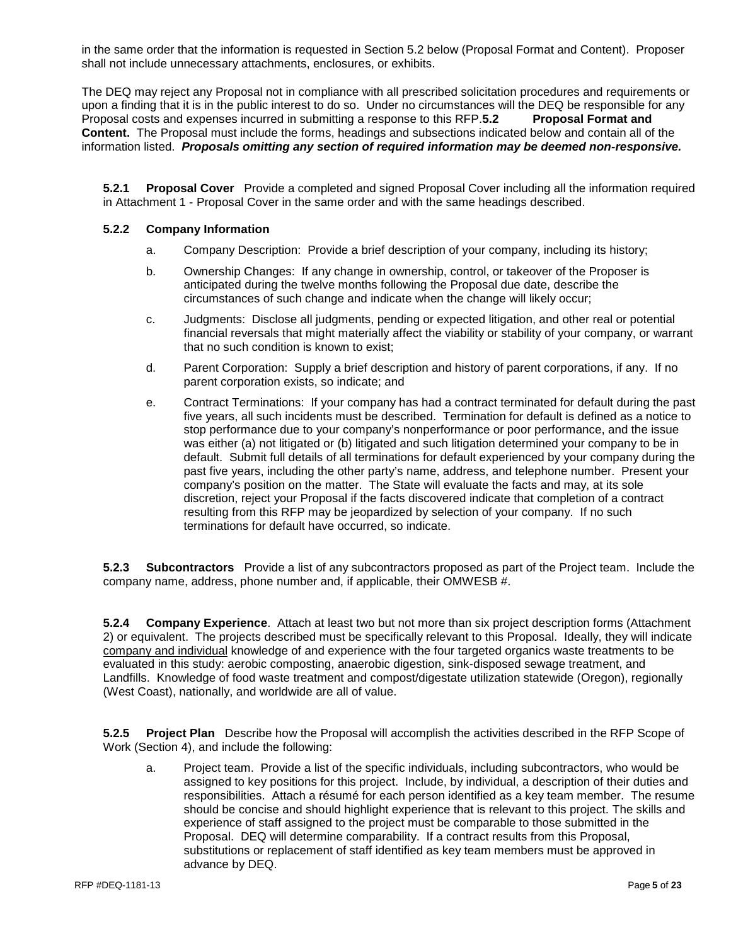in the same order that the information is requested in Section 5.2 below (Proposal Format and Content). Proposer shall not include unnecessary attachments, enclosures, or exhibits.

The DEQ may reject any Proposal not in compliance with all prescribed solicitation procedures and requirements or upon a finding that it is in the public interest to do so. Under no circumstances will the DEQ be responsible for any<br>Proposal costs and expenses incurred in submitting a response to this RFP.5.2 Proposal Format and Proposal costs and expenses incurred in submitting a response to this RFP.5.2 **Content.** The Proposal must include the forms, headings and subsections indicated below and contain all of the information listed. *Proposals omitting any section of required information may be deemed non-responsive.*

**5.2.1 Proposal Cover** Provide a completed and signed Proposal Cover including all the information required in Attachment 1 - Proposal Cover in the same order and with the same headings described.

# **5.2.2 Company Information**

- a. Company Description: Provide a brief description of your company, including its history;
- b. Ownership Changes: If any change in ownership, control, or takeover of the Proposer is anticipated during the twelve months following the Proposal due date, describe the circumstances of such change and indicate when the change will likely occur;
- c. Judgments: Disclose all judgments, pending or expected litigation, and other real or potential financial reversals that might materially affect the viability or stability of your company, or warrant that no such condition is known to exist;
- d. Parent Corporation: Supply a brief description and history of parent corporations, if any. If no parent corporation exists, so indicate; and
- e. Contract Terminations: If your company has had a contract terminated for default during the past five years, all such incidents must be described. Termination for default is defined as a notice to stop performance due to your company's nonperformance or poor performance, and the issue was either (a) not litigated or (b) litigated and such litigation determined your company to be in default. Submit full details of all terminations for default experienced by your company during the past five years, including the other party's name, address, and telephone number. Present your company's position on the matter. The State will evaluate the facts and may, at its sole discretion, reject your Proposal if the facts discovered indicate that completion of a contract resulting from this RFP may be jeopardized by selection of your company. If no such terminations for default have occurred, so indicate.

**5.2.3 Subcontractors** Provide a list of any subcontractors proposed as part of the Project team. Include the company name, address, phone number and, if applicable, their OMWESB #.

**5.2.4 Company Experience**. Attach at least two but not more than six project description forms (Attachment 2) or equivalent. The projects described must be specifically relevant to this Proposal. Ideally, they will indicate company and individual knowledge of and experience with the four targeted organics waste treatments to be evaluated in this study: aerobic composting, anaerobic digestion, sink-disposed sewage treatment, and Landfills. Knowledge of food waste treatment and compost/digestate utilization statewide (Oregon), regionally (West Coast), nationally, and worldwide are all of value.

**5.2.5 Project Plan** Describe how the Proposal will accomplish the activities described in the RFP Scope of Work (Section 4), and include the following:

a. Project team. Provide a list of the specific individuals, including subcontractors, who would be assigned to key positions for this project. Include, by individual, a description of their duties and responsibilities. Attach a résumé for each person identified as a key team member. The resume should be concise and should highlight experience that is relevant to this project. The skills and experience of staff assigned to the project must be comparable to those submitted in the Proposal. DEQ will determine comparability. If a contract results from this Proposal, substitutions or replacement of staff identified as key team members must be approved in advance by DEQ.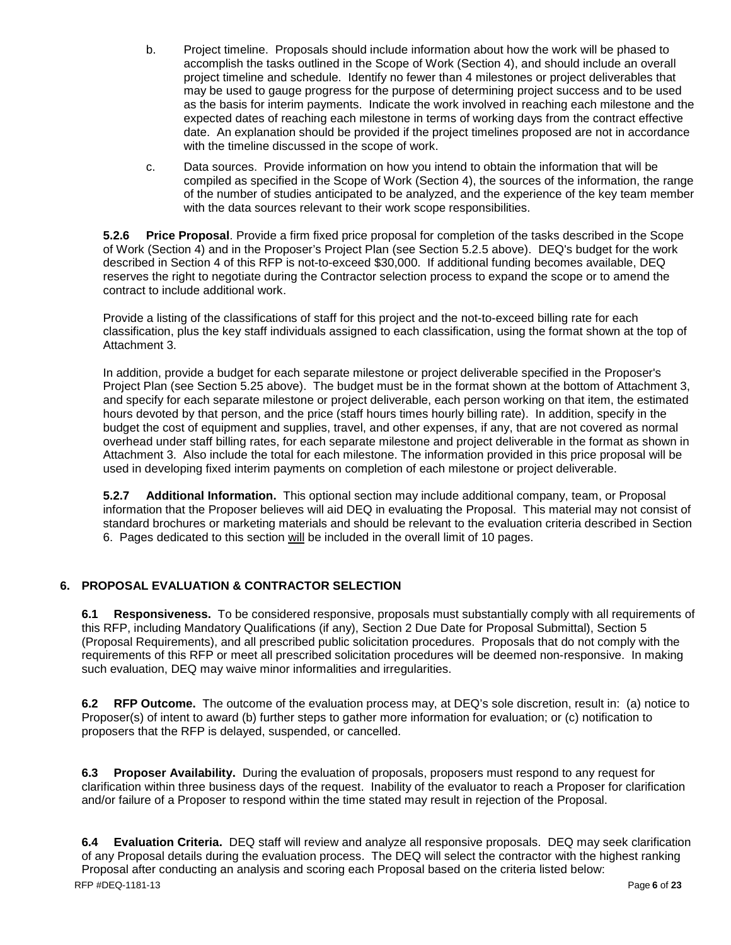- b. Project timeline. Proposals should include information about how the work will be phased to accomplish the tasks outlined in the Scope of Work (Section 4), and should include an overall project timeline and schedule. Identify no fewer than 4 milestones or project deliverables that may be used to gauge progress for the purpose of determining project success and to be used as the basis for interim payments. Indicate the work involved in reaching each milestone and the expected dates of reaching each milestone in terms of working days from the contract effective date. An explanation should be provided if the project timelines proposed are not in accordance with the timeline discussed in the scope of work.
- c. Data sources. Provide information on how you intend to obtain the information that will be compiled as specified in the Scope of Work (Section 4), the sources of the information, the range of the number of studies anticipated to be analyzed, and the experience of the key team member with the data sources relevant to their work scope responsibilities.

**5.2.6 Price Proposal**. Provide a firm fixed price proposal for completion of the tasks described in the Scope of Work (Section 4) and in the Proposer's Project Plan (see Section 5.2.5 above). DEQ's budget for the work described in Section 4 of this RFP is not-to-exceed \$30,000. If additional funding becomes available, DEQ reserves the right to negotiate during the Contractor selection process to expand the scope or to amend the contract to include additional work.

Provide a listing of the classifications of staff for this project and the not-to-exceed billing rate for each classification, plus the key staff individuals assigned to each classification, using the format shown at the top of Attachment 3.

In addition, provide a budget for each separate milestone or project deliverable specified in the Proposer's Project Plan (see Section 5.25 above). The budget must be in the format shown at the bottom of Attachment 3, and specify for each separate milestone or project deliverable, each person working on that item, the estimated hours devoted by that person, and the price (staff hours times hourly billing rate). In addition, specify in the budget the cost of equipment and supplies, travel, and other expenses, if any, that are not covered as normal overhead under staff billing rates, for each separate milestone and project deliverable in the format as shown in Attachment 3. Also include the total for each milestone. The information provided in this price proposal will be used in developing fixed interim payments on completion of each milestone or project deliverable.

**5.2.7 Additional Information.** This optional section may include additional company, team, or Proposal information that the Proposer believes will aid DEQ in evaluating the Proposal. This material may not consist of standard brochures or marketing materials and should be relevant to the evaluation criteria described in Section 6. Pages dedicated to this section will be included in the overall limit of 10 pages.

# **6. PROPOSAL EVALUATION & CONTRACTOR SELECTION**

**6.1 Responsiveness.** To be considered responsive, proposals must substantially comply with all requirements of this RFP, including Mandatory Qualifications (if any), Section 2 Due Date for Proposal Submittal), Section 5 (Proposal Requirements), and all prescribed public solicitation procedures. Proposals that do not comply with the requirements of this RFP or meet all prescribed solicitation procedures will be deemed non-responsive. In making such evaluation, DEQ may waive minor informalities and irregularities.

**6.2 RFP Outcome.** The outcome of the evaluation process may, at DEQ's sole discretion, result in: (a) notice to Proposer(s) of intent to award (b) further steps to gather more information for evaluation; or (c) notification to proposers that the RFP is delayed, suspended, or cancelled.

**6.3 Proposer Availability.** During the evaluation of proposals, proposers must respond to any request for clarification within three business days of the request. Inability of the evaluator to reach a Proposer for clarification and/or failure of a Proposer to respond within the time stated may result in rejection of the Proposal.

**6.4 Evaluation Criteria.** DEQ staff will review and analyze all responsive proposals. DEQ may seek clarification of any Proposal details during the evaluation process. The DEQ will select the contractor with the highest ranking Proposal after conducting an analysis and scoring each Proposal based on the criteria listed below: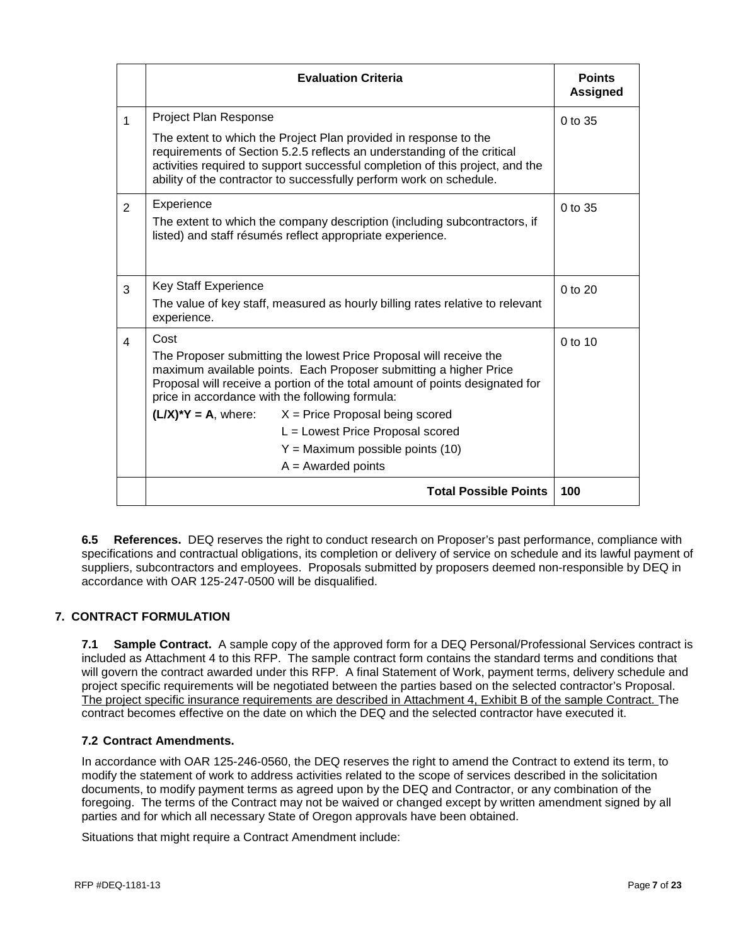|                | <b>Evaluation Criteria</b>                                                                                                                                                                                                                                                                                                                                                                                                                                       | <b>Points</b><br><b>Assigned</b> |  |  |
|----------------|------------------------------------------------------------------------------------------------------------------------------------------------------------------------------------------------------------------------------------------------------------------------------------------------------------------------------------------------------------------------------------------------------------------------------------------------------------------|----------------------------------|--|--|
| $\mathbf{1}$   | Project Plan Response                                                                                                                                                                                                                                                                                                                                                                                                                                            | 0 to 35                          |  |  |
|                | The extent to which the Project Plan provided in response to the<br>requirements of Section 5.2.5 reflects an understanding of the critical<br>activities required to support successful completion of this project, and the<br>ability of the contractor to successfully perform work on schedule.                                                                                                                                                              |                                  |  |  |
| $\overline{2}$ | Experience<br>0 to 35<br>The extent to which the company description (including subcontractors, if<br>listed) and staff résumés reflect appropriate experience.                                                                                                                                                                                                                                                                                                  |                                  |  |  |
| 3              | <b>Key Staff Experience</b><br>The value of key staff, measured as hourly billing rates relative to relevant<br>experience.                                                                                                                                                                                                                                                                                                                                      |                                  |  |  |
| $\overline{4}$ | Cost<br>The Proposer submitting the lowest Price Proposal will receive the<br>maximum available points. Each Proposer submitting a higher Price<br>Proposal will receive a portion of the total amount of points designated for<br>price in accordance with the following formula:<br>$(L/X)^*Y = A$ , where: $X = \text{Price \text{ Proposal being scored}}$<br>L = Lowest Price Proposal scored<br>$Y =$ Maximum possible points (10)<br>$A = Awarded points$ |                                  |  |  |
|                | <b>Total Possible Points</b>                                                                                                                                                                                                                                                                                                                                                                                                                                     | 100                              |  |  |

**6.5 References.** DEQ reserves the right to conduct research on Proposer's past performance, compliance with specifications and contractual obligations, its completion or delivery of service on schedule and its lawful payment of suppliers, subcontractors and employees. Proposals submitted by proposers deemed non-responsible by DEQ in accordance with OAR 125-247-0500 will be disqualified.

# **7. CONTRACT FORMULATION**

**7.1 Sample Contract.** A sample copy of the approved form for a DEQ Personal/Professional Services contract is included as Attachment 4 to this RFP. The sample contract form contains the standard terms and conditions that will govern the contract awarded under this RFP. A final Statement of Work, payment terms, delivery schedule and project specific requirements will be negotiated between the parties based on the selected contractor's Proposal. The project specific insurance requirements are described in Attachment 4, Exhibit B of the sample Contract. The contract becomes effective on the date on which the DEQ and the selected contractor have executed it.

# **7.2 Contract Amendments.**

In accordance with OAR 125-246-0560, the DEQ reserves the right to amend the Contract to extend its term, to modify the statement of work to address activities related to the scope of services described in the solicitation documents, to modify payment terms as agreed upon by the DEQ and Contractor, or any combination of the foregoing. The terms of the Contract may not be waived or changed except by written amendment signed by all parties and for which all necessary State of Oregon approvals have been obtained.

Situations that might require a Contract Amendment include: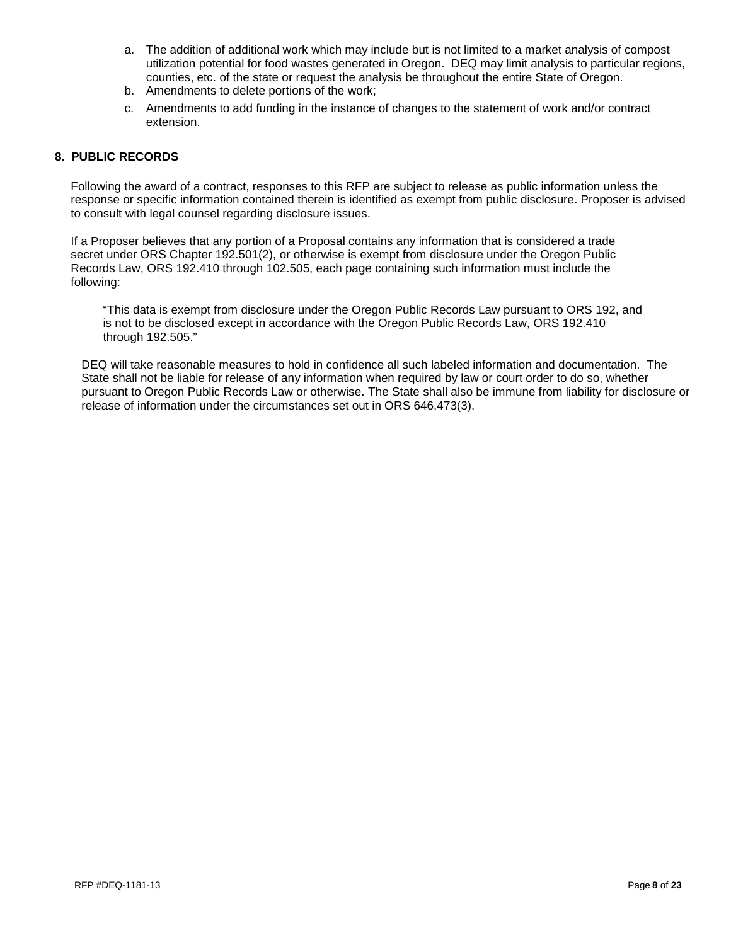- a. The addition of additional work which may include but is not limited to a market analysis of compost utilization potential for food wastes generated in Oregon. DEQ may limit analysis to particular regions, counties, etc. of the state or request the analysis be throughout the entire State of Oregon.
- b. Amendments to delete portions of the work;
- c. Amendments to add funding in the instance of changes to the statement of work and/or contract extension.

# **8. PUBLIC RECORDS**

Following the award of a contract, responses to this RFP are subject to release as public information unless the response or specific information contained therein is identified as exempt from public disclosure. Proposer is advised to consult with legal counsel regarding disclosure issues.

If a Proposer believes that any portion of a Proposal contains any information that is considered a trade secret under ORS Chapter 192.501(2), or otherwise is exempt from disclosure under the Oregon Public Records Law, ORS 192.410 through 102.505, each page containing such information must include the following:

"This data is exempt from disclosure under the Oregon Public Records Law pursuant to ORS 192, and is not to be disclosed except in accordance with the Oregon Public Records Law, ORS 192.410 through 192.505."

DEQ will take reasonable measures to hold in confidence all such labeled information and documentation. The State shall not be liable for release of any information when required by law or court order to do so, whether pursuant to Oregon Public Records Law or otherwise. The State shall also be immune from liability for disclosure or release of information under the circumstances set out in ORS 646.473(3).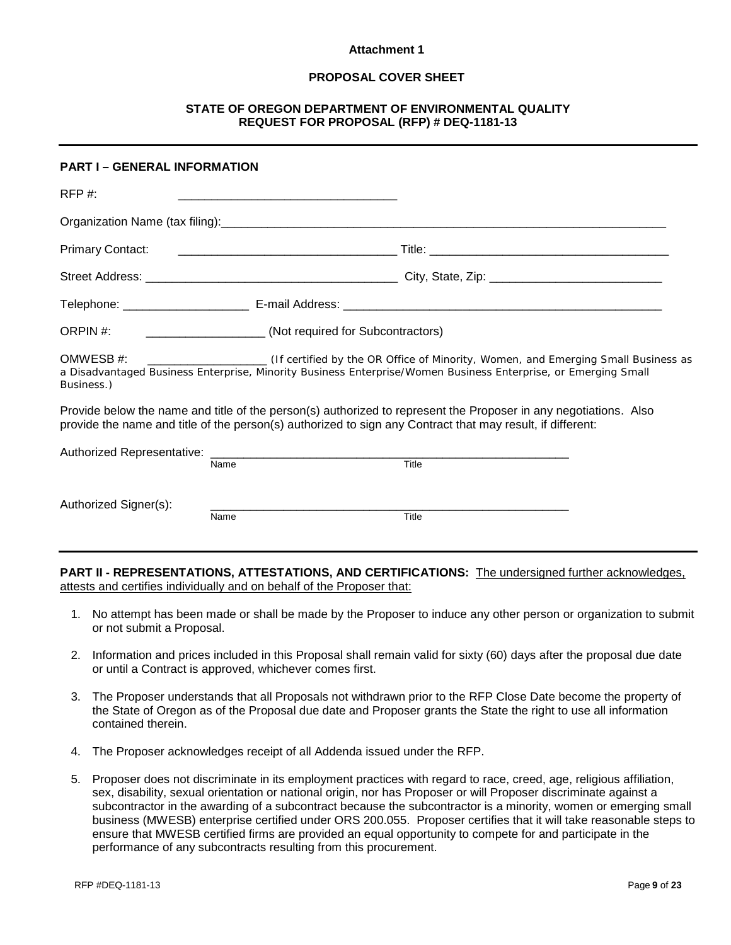### **Attachment 1**

# **PROPOSAL COVER SHEET**

# **STATE OF OREGON DEPARTMENT OF ENVIRONMENTAL QUALITY REQUEST FOR PROPOSAL (RFP) # DEQ-1181-13**

# **PART I – GENERAL INFORMATION**

| RFP#:                   |                                   |                                                                                                                                                                                                                                |  |
|-------------------------|-----------------------------------|--------------------------------------------------------------------------------------------------------------------------------------------------------------------------------------------------------------------------------|--|
|                         |                                   |                                                                                                                                                                                                                                |  |
|                         |                                   |                                                                                                                                                                                                                                |  |
|                         |                                   |                                                                                                                                                                                                                                |  |
|                         |                                   |                                                                                                                                                                                                                                |  |
| ORPIN #:                | (Not required for Subcontractors) |                                                                                                                                                                                                                                |  |
| OMWESB #:<br>Business.) |                                   | (If certified by the OR Office of Minority, Women, and Emerging Small Business as<br>a Disadvantaged Business Enterprise, Minority Business Enterprise/Women Business Enterprise, or Emerging Small                            |  |
|                         |                                   | Provide below the name and title of the person(s) authorized to represent the Proposer in any negotiations. Also<br>provide the name and title of the person(s) authorized to sign any Contract that may result, if different: |  |
|                         | Name                              | Title                                                                                                                                                                                                                          |  |
| Authorized Signer(s):   | Name                              | Title                                                                                                                                                                                                                          |  |
|                         |                                   |                                                                                                                                                                                                                                |  |

**PART II - REPRESENTATIONS, ATTESTATIONS, AND CERTIFICATIONS:** The undersigned further acknowledges, attests and certifies individually and on behalf of the Proposer that:

- 1. No attempt has been made or shall be made by the Proposer to induce any other person or organization to submit or not submit a Proposal.
- 2. Information and prices included in this Proposal shall remain valid for sixty (60) days after the proposal due date or until a Contract is approved, whichever comes first.
- 3. The Proposer understands that all Proposals not withdrawn prior to the RFP Close Date become the property of the State of Oregon as of the Proposal due date and Proposer grants the State the right to use all information contained therein.
- 4. The Proposer acknowledges receipt of all Addenda issued under the RFP.
- 5. Proposer does not discriminate in its employment practices with regard to race, creed, age, religious affiliation, sex, disability, sexual orientation or national origin, nor has Proposer or will Proposer discriminate against a subcontractor in the awarding of a subcontract because the subcontractor is a minority, women or emerging small business (MWESB) enterprise certified under ORS 200.055. Proposer certifies that it will take reasonable steps to ensure that MWESB certified firms are provided an equal opportunity to compete for and participate in the performance of any subcontracts resulting from this procurement.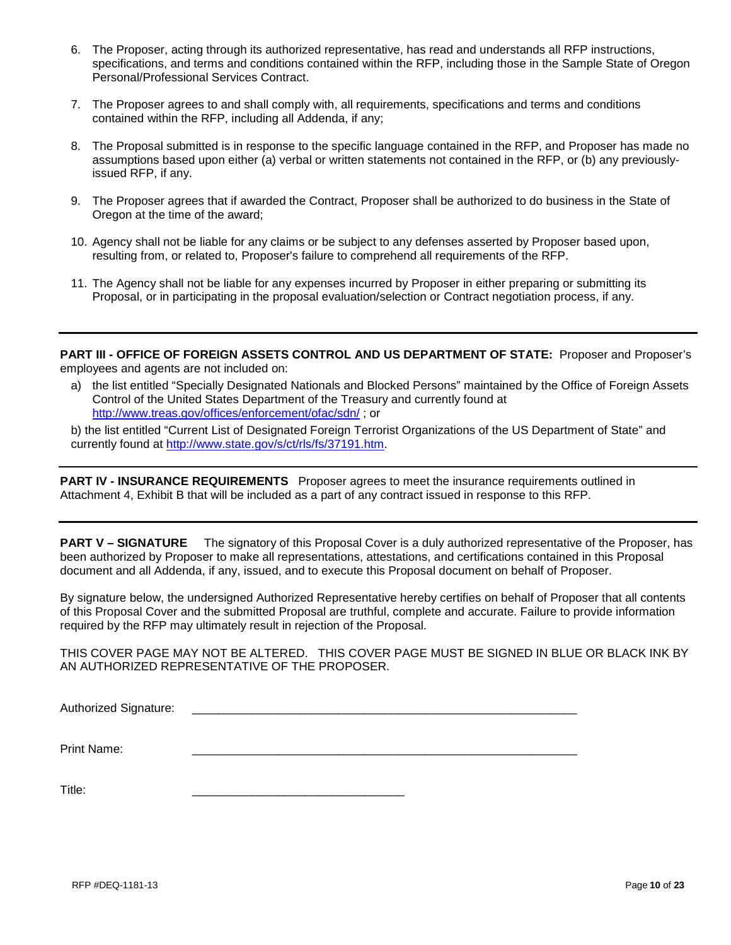- 6. The Proposer, acting through its authorized representative, has read and understands all RFP instructions, specifications, and terms and conditions contained within the RFP, including those in the Sample State of Oregon Personal/Professional Services Contract.
- 7. The Proposer agrees to and shall comply with, all requirements, specifications and terms and conditions contained within the RFP, including all Addenda, if any;
- 8. The Proposal submitted is in response to the specific language contained in the RFP, and Proposer has made no assumptions based upon either (a) verbal or written statements not contained in the RFP, or (b) any previouslyissued RFP, if any.
- 9. The Proposer agrees that if awarded the Contract, Proposer shall be authorized to do business in the State of Oregon at the time of the award;
- 10. Agency shall not be liable for any claims or be subject to any defenses asserted by Proposer based upon, resulting from, or related to, Proposer's failure to comprehend all requirements of the RFP.
- 11. The Agency shall not be liable for any expenses incurred by Proposer in either preparing or submitting its Proposal, or in participating in the proposal evaluation/selection or Contract negotiation process, if any.

PART III - OFFICE OF FOREIGN ASSETS CONTROL AND US DEPARTMENT OF STATE: Proposer and Proposer's employees and agents are not included on:

a) the list entitled "Specially Designated Nationals and Blocked Persons" maintained by the Office of Foreign Assets Control of the United States Department of the Treasury and currently found at <http://www.treas.gov/offices/enforcement/ofac/sdn/> ; or

b) the list entitled "Current List of Designated Foreign Terrorist Organizations of the US Department of State" and currently found at [http://www.state.gov/s/ct/rls/fs/37191.htm.](http://www.state.gov/s/ct/rls/fs/37191.htm)

**PART IV - INSURANCE REQUIREMENTS** Proposer agrees to meet the insurance requirements outlined in Attachment 4, Exhibit B that will be included as a part of any contract issued in response to this RFP.

**PART V – SIGNATURE** The signatory of this Proposal Cover is a duly authorized representative of the Proposer, has been authorized by Proposer to make all representations, attestations, and certifications contained in this Proposal document and all Addenda, if any, issued, and to execute this Proposal document on behalf of Proposer.

By signature below, the undersigned Authorized Representative hereby certifies on behalf of Proposer that all contents of this Proposal Cover and the submitted Proposal are truthful, complete and accurate. Failure to provide information required by the RFP may ultimately result in rejection of the Proposal.

THIS COVER PAGE MAY NOT BE ALTERED. THIS COVER PAGE MUST BE SIGNED IN BLUE OR BLACK INK BY AN AUTHORIZED REPRESENTATIVE OF THE PROPOSER.

Authorized Signature:

Print Name: \_\_\_\_\_\_\_\_\_\_\_\_\_\_\_\_\_\_\_\_\_\_\_\_\_\_\_\_\_\_\_\_\_\_\_\_\_\_\_\_\_\_\_\_\_\_\_\_\_\_\_\_\_\_\_\_\_\_

Title: \_\_\_\_\_\_\_\_\_\_\_\_\_\_\_\_\_\_\_\_\_\_\_\_\_\_\_\_\_\_\_\_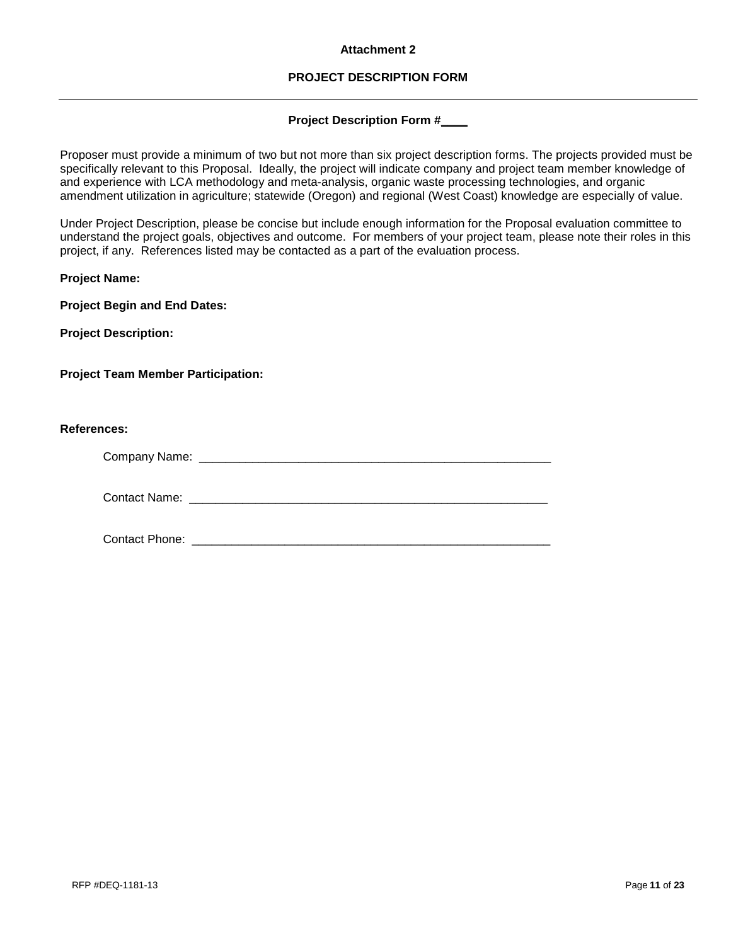### **Attachment 2**

# **PROJECT DESCRIPTION FORM**

### **Project Description Form #\_\_\_\_**

Proposer must provide a minimum of two but not more than six project description forms. The projects provided must be specifically relevant to this Proposal. Ideally, the project will indicate company and project team member knowledge of and experience with LCA methodology and meta-analysis, organic waste processing technologies, and organic amendment utilization in agriculture; statewide (Oregon) and regional (West Coast) knowledge are especially of value.

Under Project Description, please be concise but include enough information for the Proposal evaluation committee to understand the project goals, objectives and outcome. For members of your project team, please note their roles in this project, if any. References listed may be contacted as a part of the evaluation process.

**Project Name:**

**Project Begin and End Dates:**

**Project Description:**

**Project Team Member Participation:**

### **References:**

Company Name: \_\_\_\_\_\_\_\_\_\_\_\_\_\_\_\_\_\_\_\_\_\_\_\_\_\_\_\_\_\_\_\_\_\_\_\_\_\_\_\_\_\_\_\_\_\_\_\_\_\_\_\_\_

Contact Name: **Example 20** and 20 and 20 and 20 and 20 and 20 and 20 and 20 and 20 and 20 and 20 and 20 and 20 and 20 and 20 and 20 and 20 and 20 and 20 and 20 and 20 and 20 and 20 and 20 and 20 and 20 and 20 and 20 and 20

Contact Phone: **Example 20** and 20 and 20 and 20 and 20 and 20 and 20 and 20 and 20 and 20 and 20 and 20 and 20 and 20 and 20 and 20 and 20 and 20 and 20 and 20 and 20 and 20 and 20 and 20 and 20 and 20 and 20 and 20 and 2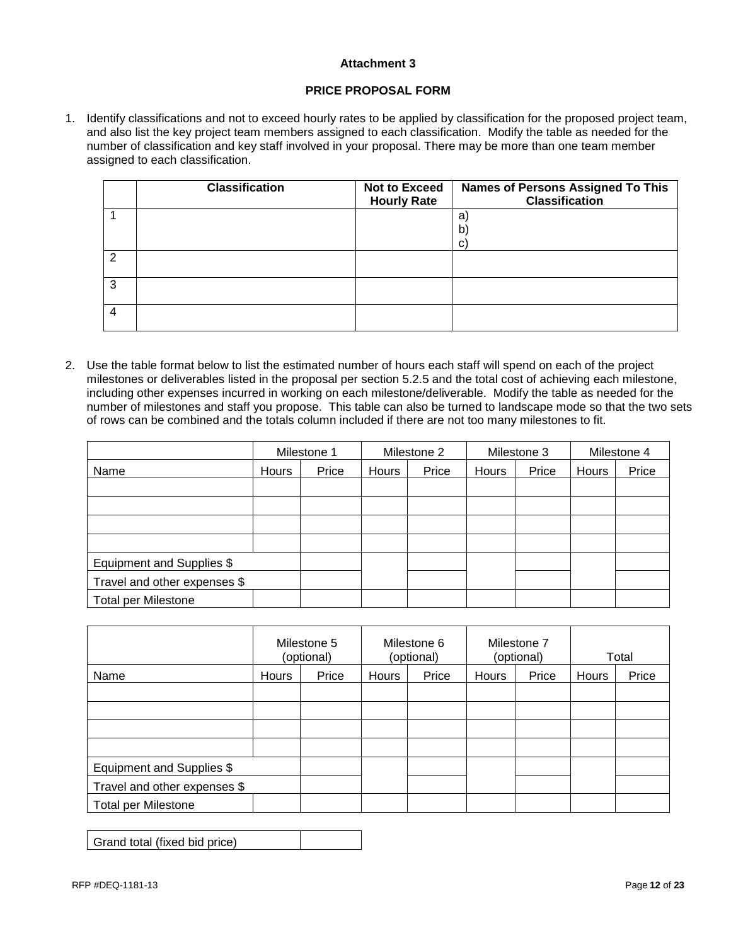### **Attachment 3**

### **PRICE PROPOSAL FORM**

1. Identify classifications and not to exceed hourly rates to be applied by classification for the proposed project team, and also list the key project team members assigned to each classification. Modify the table as needed for the number of classification and key staff involved in your proposal. There may be more than one team member assigned to each classification.

|   | <b>Classification</b> | <b>Not to Exceed</b><br><b>Hourly Rate</b> | <b>Names of Persons Assigned To This</b><br><b>Classification</b> |
|---|-----------------------|--------------------------------------------|-------------------------------------------------------------------|
|   |                       |                                            | a<br>$\mathbf{b}$<br>с                                            |
| ົ |                       |                                            |                                                                   |
| 3 |                       |                                            |                                                                   |
| 4 |                       |                                            |                                                                   |

2. Use the table format below to list the estimated number of hours each staff will spend on each of the project milestones or deliverables listed in the proposal per section 5.2.5 and the total cost of achieving each milestone, including other expenses incurred in working on each milestone/deliverable. Modify the table as needed for the number of milestones and staff you propose. This table can also be turned to landscape mode so that the two sets of rows can be combined and the totals column included if there are not too many milestones to fit.

|                              |       | Milestone 1 |       | Milestone 2 |       | Milestone 3 |       | Milestone 4 |
|------------------------------|-------|-------------|-------|-------------|-------|-------------|-------|-------------|
| Name                         | Hours | Price       | Hours | Price       | Hours | Price       | Hours | Price       |
|                              |       |             |       |             |       |             |       |             |
|                              |       |             |       |             |       |             |       |             |
|                              |       |             |       |             |       |             |       |             |
|                              |       |             |       |             |       |             |       |             |
| Equipment and Supplies \$    |       |             |       |             |       |             |       |             |
| Travel and other expenses \$ |       |             |       |             |       |             |       |             |
| <b>Total per Milestone</b>   |       |             |       |             |       |             |       |             |

|                              |       | Milestone 5<br>(optional) |       | Milestone 6<br>(optional) |       | Milestone 7<br>(optional) |       | Total |
|------------------------------|-------|---------------------------|-------|---------------------------|-------|---------------------------|-------|-------|
| Name                         | Hours | Price                     | Hours | Price                     | Hours | Price                     | Hours | Price |
|                              |       |                           |       |                           |       |                           |       |       |
|                              |       |                           |       |                           |       |                           |       |       |
|                              |       |                           |       |                           |       |                           |       |       |
|                              |       |                           |       |                           |       |                           |       |       |
| Equipment and Supplies \$    |       |                           |       |                           |       |                           |       |       |
| Travel and other expenses \$ |       |                           |       |                           |       |                           |       |       |
| <b>Total per Milestone</b>   |       |                           |       |                           |       |                           |       |       |

| Grand total (fixed bid price) |  |
|-------------------------------|--|
|-------------------------------|--|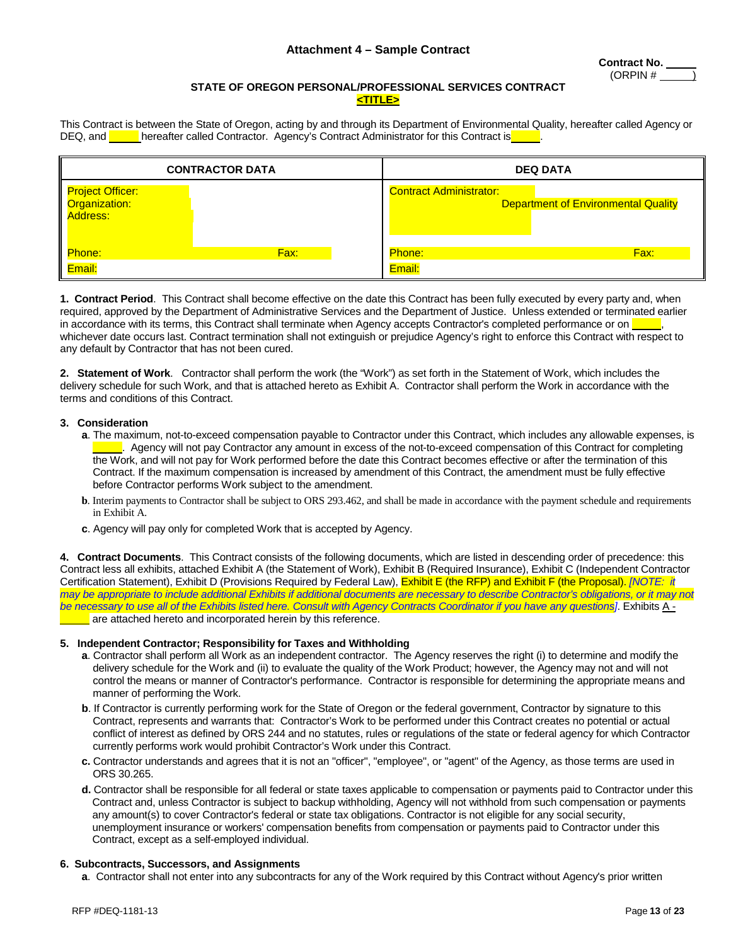# **Attachment 4 – Sample Contract**

#### **STATE OF OREGON PERSONAL/PROFESSIONAL SERVICES CONTRACT <TITLE>**

This Contract is between the State of Oregon, acting by and through its Department of Environmental Quality, hereafter called Agency or DEQ, and **hereafter called Contractor.** Agency's Contract Administrator for this Contract is

|                                                                | <b>CONTRACTOR DATA</b> | <b>DEQ DATA</b>                |                                            |  |
|----------------------------------------------------------------|------------------------|--------------------------------|--------------------------------------------|--|
| I <mark>Project Officer: I</mark><br>Organization:<br>Address: |                        | <b>Contract Administrator:</b> | <b>Department of Environmental Quality</b> |  |
| Phone:                                                         | Fax:                   | Phone:                         | Fax:                                       |  |
| Email:                                                         |                        | Email:                         |                                            |  |

**1. Contract Period**. This Contract shall become effective on the date this Contract has been fully executed by every party and, when required, approved by the Department of Administrative Services and the Department of Justice. Unless extended or terminated earlier in accordance with its terms, this Contract shall terminate when Agency accepts Contractor's completed performance or on whichever date occurs last. Contract termination shall not extinguish or prejudice Agency's right to enforce this Contract with respect to any default by Contractor that has not been cured.

**2. Statement of Work**. Contractor shall perform the work (the "Work") as set forth in the Statement of Work, which includes the delivery schedule for such Work, and that is attached hereto as Exhibit A. Contractor shall perform the Work in accordance with the terms and conditions of this Contract.

#### **3. Consideration**

- **a**. The maximum, not-to-exceed compensation payable to Contractor under this Contract, which includes any allowable expenses, is . Agency will not pay Contractor any amount in excess of the not-to-exceed compensation of this Contract for completing the Work, and will not pay for Work performed before the date this Contract becomes effective or after the termination of this Contract. If the maximum compensation is increased by amendment of this Contract, the amendment must be fully effective before Contractor performs Work subject to the amendment.
- **b**. Interim payments to Contractor shall be subject to ORS 293.462, and shall be made in accordance with the payment schedule and requirements in Exhibit A.
- **c**. Agency will pay only for completed Work that is accepted by Agency.

**4. Contract Documents**. This Contract consists of the following documents, which are listed in descending order of precedence: this Contract less all exhibits, attached Exhibit A (the Statement of Work), Exhibit B (Required Insurance), Exhibit C (Independent Contractor Certification Statement), Exhibit D (Provisions Required by Federal Law), Exhibit E (the RFP) and Exhibit F (the Proposal). *[NOTE: it may be appropriate to include additional Exhibits if additional documents are necessary to describe Contractor's obligations, or it may not be necessary to use all of the Exhibits listed here. Consult with Agency Contracts Coordinator if you have any questions]*. Exhibits A are attached hereto and incorporated herein by this reference.

#### **5. Independent Contractor; Responsibility for Taxes and Withholding**

- **a**. Contractor shall perform all Work as an independent contractor. The Agency reserves the right (i) to determine and modify the delivery schedule for the Work and (ii) to evaluate the quality of the Work Product; however, the Agency may not and will not control the means or manner of Contractor's performance. Contractor is responsible for determining the appropriate means and manner of performing the Work.
- **b**. If Contractor is currently performing work for the State of Oregon or the federal government, Contractor by signature to this Contract, represents and warrants that: Contractor's Work to be performed under this Contract creates no potential or actual conflict of interest as defined by ORS 244 and no statutes, rules or regulations of the state or federal agency for which Contractor currently performs work would prohibit Contractor's Work under this Contract.
- **c.** Contractor understands and agrees that it is not an "officer", "employee", or "agent" of the Agency, as those terms are used in ORS 30.265.
- **d.** Contractor shall be responsible for all federal or state taxes applicable to compensation or payments paid to Contractor under this Contract and, unless Contractor is subject to backup withholding, Agency will not withhold from such compensation or payments any amount(s) to cover Contractor's federal or state tax obligations. Contractor is not eligible for any social security, unemployment insurance or workers' compensation benefits from compensation or payments paid to Contractor under this Contract, except as a self-employed individual.

#### **6. Subcontracts, Successors, and Assignments**

**a**. Contractor shall not enter into any subcontracts for any of the Work required by this Contract without Agency's prior written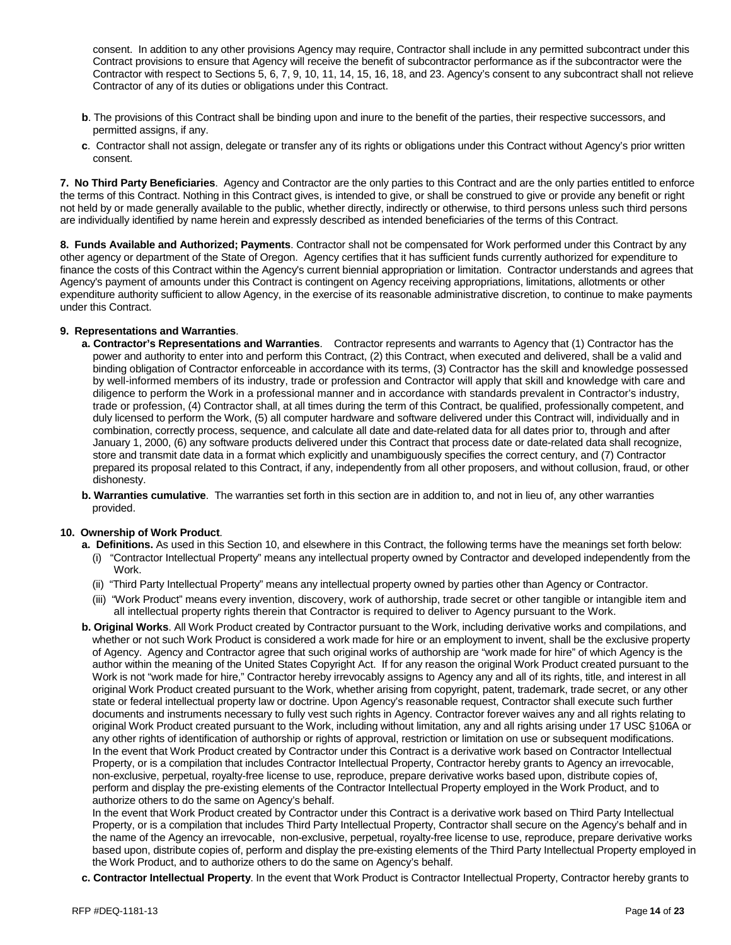consent. In addition to any other provisions Agency may require, Contractor shall include in any permitted subcontract under this Contract provisions to ensure that Agency will receive the benefit of subcontractor performance as if the subcontractor were the Contractor with respect to Sections 5, 6, 7, 9, 10, 11, 14, 15, 16, 18, and 23. Agency's consent to any subcontract shall not relieve Contractor of any of its duties or obligations under this Contract.

- **b**. The provisions of this Contract shall be binding upon and inure to the benefit of the parties, their respective successors, and permitted assigns, if any.
- **c**. Contractor shall not assign, delegate or transfer any of its rights or obligations under this Contract without Agency's prior written consent.

**7. No Third Party Beneficiaries**. Agency and Contractor are the only parties to this Contract and are the only parties entitled to enforce the terms of this Contract. Nothing in this Contract gives, is intended to give, or shall be construed to give or provide any benefit or right not held by or made generally available to the public, whether directly, indirectly or otherwise, to third persons unless such third persons are individually identified by name herein and expressly described as intended beneficiaries of the terms of this Contract.

**8. Funds Available and Authorized; Payments**. Contractor shall not be compensated for Work performed under this Contract by any other agency or department of the State of Oregon. Agency certifies that it has sufficient funds currently authorized for expenditure to finance the costs of this Contract within the Agency's current biennial appropriation or limitation. Contractor understands and agrees that Agency's payment of amounts under this Contract is contingent on Agency receiving appropriations, limitations, allotments or other expenditure authority sufficient to allow Agency, in the exercise of its reasonable administrative discretion, to continue to make payments under this Contract.

### **9. Representations and Warranties**.

- **a. Contractor's Representations and Warranties**. Contractor represents and warrants to Agency that (1) Contractor has the power and authority to enter into and perform this Contract, (2) this Contract, when executed and delivered, shall be a valid and binding obligation of Contractor enforceable in accordance with its terms, (3) Contractor has the skill and knowledge possessed by well-informed members of its industry, trade or profession and Contractor will apply that skill and knowledge with care and diligence to perform the Work in a professional manner and in accordance with standards prevalent in Contractor's industry, trade or profession, (4) Contractor shall, at all times during the term of this Contract, be qualified, professionally competent, and duly licensed to perform the Work, (5) all computer hardware and software delivered under this Contract will, individually and in combination, correctly process, sequence, and calculate all date and date-related data for all dates prior to, through and after January 1, 2000, (6) any software products delivered under this Contract that process date or date-related data shall recognize, store and transmit date data in a format which explicitly and unambiguously specifies the correct century, and (7) Contractor prepared its proposal related to this Contract, if any, independently from all other proposers, and without collusion, fraud, or other dishonesty.
- **b. Warranties cumulative**. The warranties set forth in this section are in addition to, and not in lieu of, any other warranties provided.

#### **10. Ownership of Work Product**.

- **a. Definitions.** As used in this Section 10, and elsewhere in this Contract, the following terms have the meanings set forth below: (i) "Contractor Intellectual Property" means any intellectual property owned by Contractor and developed independently from the Work.
	- (ii) "Third Party Intellectual Property" means any intellectual property owned by parties other than Agency or Contractor.
	- (iii) "Work Product" means every invention, discovery, work of authorship, trade secret or other tangible or intangible item and all intellectual property rights therein that Contractor is required to deliver to Agency pursuant to the Work.
- **b. Original Works**. All Work Product created by Contractor pursuant to the Work, including derivative works and compilations, and whether or not such Work Product is considered a work made for hire or an employment to invent, shall be the exclusive property of Agency. Agency and Contractor agree that such original works of authorship are "work made for hire" of which Agency is the author within the meaning of the United States Copyright Act. If for any reason the original Work Product created pursuant to the Work is not "work made for hire," Contractor hereby irrevocably assigns to Agency any and all of its rights, title, and interest in all original Work Product created pursuant to the Work, whether arising from copyright, patent, trademark, trade secret, or any other state or federal intellectual property law or doctrine. Upon Agency's reasonable request, Contractor shall execute such further documents and instruments necessary to fully vest such rights in Agency. Contractor forever waives any and all rights relating to original Work Product created pursuant to the Work, including without limitation, any and all rights arising under 17 USC §106A or any other rights of identification of authorship or rights of approval, restriction or limitation on use or subsequent modifications. In the event that Work Product created by Contractor under this Contract is a derivative work based on Contractor Intellectual Property, or is a compilation that includes Contractor Intellectual Property, Contractor hereby grants to Agency an irrevocable, non-exclusive, perpetual, royalty-free license to use, reproduce, prepare derivative works based upon, distribute copies of, perform and display the pre-existing elements of the Contractor Intellectual Property employed in the Work Product, and to authorize others to do the same on Agency's behalf.

In the event that Work Product created by Contractor under this Contract is a derivative work based on Third Party Intellectual Property, or is a compilation that includes Third Party Intellectual Property, Contractor shall secure on the Agency's behalf and in the name of the Agency an irrevocable, non-exclusive, perpetual, royalty-free license to use, reproduce, prepare derivative works based upon, distribute copies of, perform and display the pre-existing elements of the Third Party Intellectual Property employed in the Work Product, and to authorize others to do the same on Agency's behalf.

**c. Contractor Intellectual Property**. In the event that Work Product is Contractor Intellectual Property, Contractor hereby grants to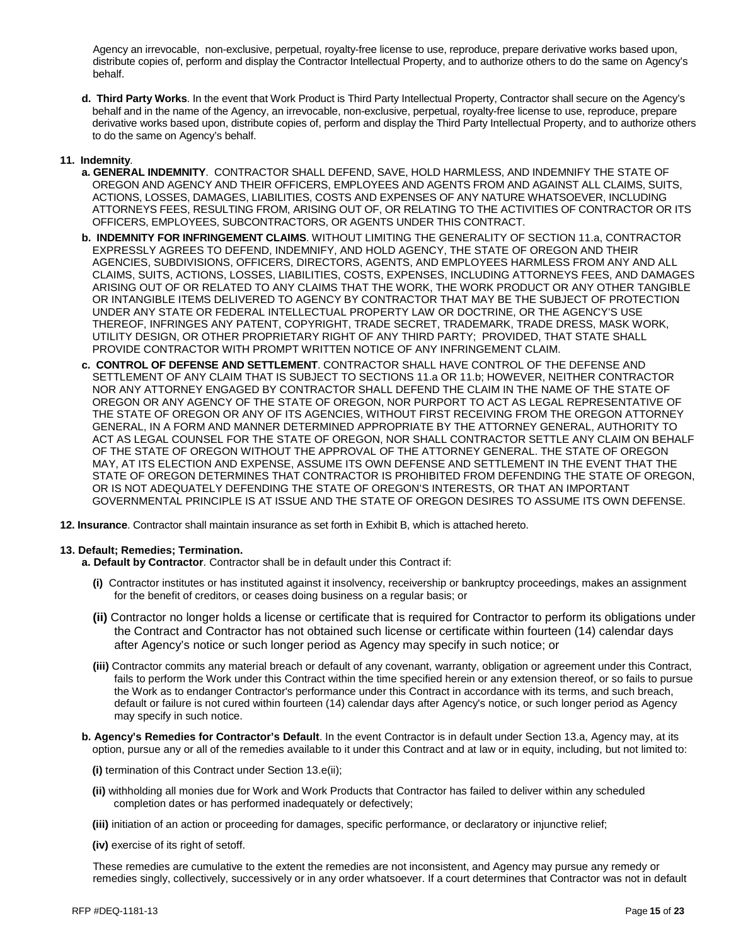Agency an irrevocable, non-exclusive, perpetual, royalty-free license to use, reproduce, prepare derivative works based upon, distribute copies of, perform and display the Contractor Intellectual Property, and to authorize others to do the same on Agency's behalf.

**d. Third Party Works**. In the event that Work Product is Third Party Intellectual Property, Contractor shall secure on the Agency's behalf and in the name of the Agency, an irrevocable, non-exclusive, perpetual, royalty-free license to use, reproduce, prepare derivative works based upon, distribute copies of, perform and display the Third Party Intellectual Property, and to authorize others to do the same on Agency's behalf.

### **11. Indemnity**.

- **a. GENERAL INDEMNITY**.CONTRACTOR SHALL DEFEND, SAVE, HOLD HARMLESS, AND INDEMNIFY THE STATE OF OREGON AND AGENCY AND THEIR OFFICERS, EMPLOYEES AND AGENTS FROM AND AGAINST ALL CLAIMS, SUITS, ACTIONS, LOSSES, DAMAGES, LIABILITIES, COSTS AND EXPENSES OF ANY NATURE WHATSOEVER, INCLUDING ATTORNEYS FEES, RESULTING FROM, ARISING OUT OF, OR RELATING TO THE ACTIVITIES OF CONTRACTOR OR ITS OFFICERS, EMPLOYEES, SUBCONTRACTORS, OR AGENTS UNDER THIS CONTRACT.
- **b. INDEMNITY FOR INFRINGEMENT CLAIMS**. WITHOUT LIMITING THE GENERALITY OF SECTION 11.a, CONTRACTOR EXPRESSLY AGREES TO DEFEND, INDEMNIFY, AND HOLD AGENCY, THE STATE OF OREGON AND THEIR AGENCIES, SUBDIVISIONS, OFFICERS, DIRECTORS, AGENTS, AND EMPLOYEES HARMLESS FROM ANY AND ALL CLAIMS, SUITS, ACTIONS, LOSSES, LIABILITIES, COSTS, EXPENSES, INCLUDING ATTORNEYS FEES, AND DAMAGES ARISING OUT OF OR RELATED TO ANY CLAIMS THAT THE WORK, THE WORK PRODUCT OR ANY OTHER TANGIBLE OR INTANGIBLE ITEMS DELIVERED TO AGENCY BY CONTRACTOR THAT MAY BE THE SUBJECT OF PROTECTION UNDER ANY STATE OR FEDERAL INTELLECTUAL PROPERTY LAW OR DOCTRINE, OR THE AGENCY'S USE THEREOF, INFRINGES ANY PATENT, COPYRIGHT, TRADE SECRET, TRADEMARK, TRADE DRESS, MASK WORK, UTILITY DESIGN, OR OTHER PROPRIETARY RIGHT OF ANY THIRD PARTY; PROVIDED, THAT STATE SHALL PROVIDE CONTRACTOR WITH PROMPT WRITTEN NOTICE OF ANY INFRINGEMENT CLAIM.
- **c. CONTROL OF DEFENSE AND SETTLEMENT**. CONTRACTOR SHALL HAVE CONTROL OF THE DEFENSE AND SETTLEMENT OF ANY CLAIM THAT IS SUBJECT TO SECTIONS 11.a OR 11.b; HOWEVER, NEITHER CONTRACTOR NOR ANY ATTORNEY ENGAGED BY CONTRACTOR SHALL DEFEND THE CLAIM IN THE NAME OF THE STATE OF OREGON OR ANY AGENCY OF THE STATE OF OREGON, NOR PURPORT TO ACT AS LEGAL REPRESENTATIVE OF THE STATE OF OREGON OR ANY OF ITS AGENCIES, WITHOUT FIRST RECEIVING FROM THE OREGON ATTORNEY GENERAL, IN A FORM AND MANNER DETERMINED APPROPRIATE BY THE ATTORNEY GENERAL, AUTHORITY TO ACT AS LEGAL COUNSEL FOR THE STATE OF OREGON, NOR SHALL CONTRACTOR SETTLE ANY CLAIM ON BEHALF OF THE STATE OF OREGON WITHOUT THE APPROVAL OF THE ATTORNEY GENERAL. THE STATE OF OREGON MAY, AT ITS ELECTION AND EXPENSE, ASSUME ITS OWN DEFENSE AND SETTLEMENT IN THE EVENT THAT THE STATE OF OREGON DETERMINES THAT CONTRACTOR IS PROHIBITED FROM DEFENDING THE STATE OF OREGON, OR IS NOT ADEQUATELY DEFENDING THE STATE OF OREGON'S INTERESTS, OR THAT AN IMPORTANT GOVERNMENTAL PRINCIPLE IS AT ISSUE AND THE STATE OF OREGON DESIRES TO ASSUME ITS OWN DEFENSE.
- **12. Insurance**. Contractor shall maintain insurance as set forth in Exhibit B, which is attached hereto.

#### **13. Default; Remedies; Termination.**

- **a. Default by Contractor**. Contractor shall be in default under this Contract if:
	- **(i)** Contractor institutes or has instituted against it insolvency, receivership or bankruptcy proceedings, makes an assignment for the benefit of creditors, or ceases doing business on a regular basis; or
	- **(ii)** Contractor no longer holds a license or certificate that is required for Contractor to perform its obligations under the Contract and Contractor has not obtained such license or certificate within fourteen (14) calendar days after Agency's notice or such longer period as Agency may specify in such notice; or
	- **(iii)** Contractor commits any material breach or default of any covenant, warranty, obligation or agreement under this Contract, fails to perform the Work under this Contract within the time specified herein or any extension thereof, or so fails to pursue the Work as to endanger Contractor's performance under this Contract in accordance with its terms, and such breach, default or failure is not cured within fourteen (14) calendar days after Agency's notice, or such longer period as Agency may specify in such notice.
- **b. Agency's Remedies for Contractor's Default**. In the event Contractor is in default under Section 13.a, Agency may, at its option, pursue any or all of the remedies available to it under this Contract and at law or in equity, including, but not limited to:
	- **(i)** termination of this Contract under Section 13.e(ii);
	- **(ii)** withholding all monies due for Work and Work Products that Contractor has failed to deliver within any scheduled completion dates or has performed inadequately or defectively;
	- **(iii)** initiation of an action or proceeding for damages, specific performance, or declaratory or injunctive relief;
	- **(iv)** exercise of its right of setoff.

These remedies are cumulative to the extent the remedies are not inconsistent, and Agency may pursue any remedy or remedies singly, collectively, successively or in any order whatsoever. If a court determines that Contractor was not in default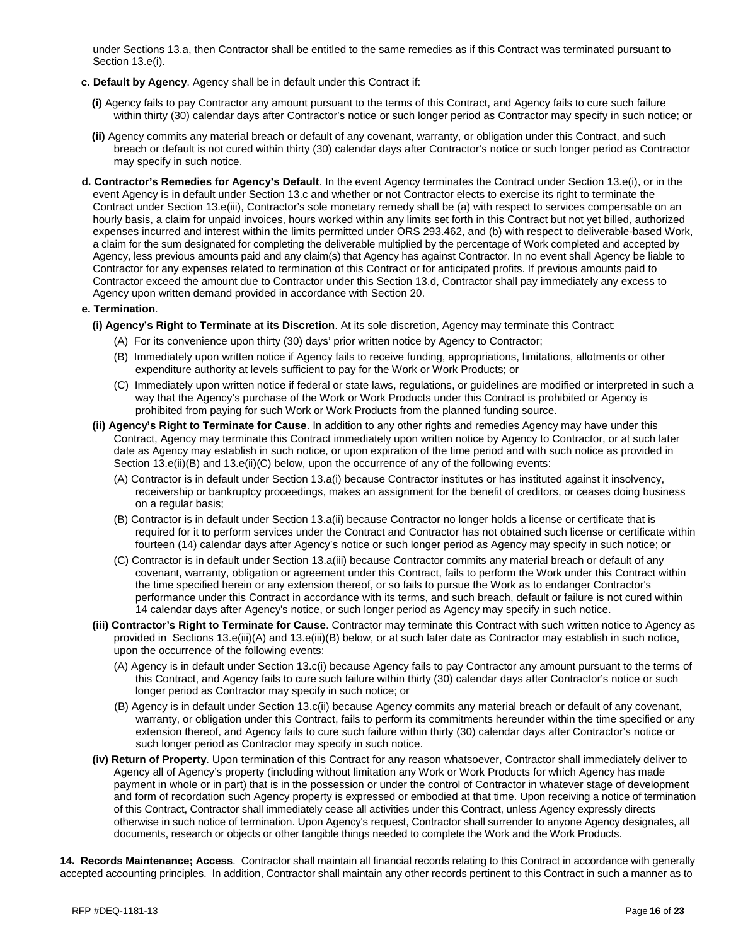under Sections 13.a, then Contractor shall be entitled to the same remedies as if this Contract was terminated pursuant to Section 13.e(i).

- **c. Default by Agency**. Agency shall be in default under this Contract if:
	- **(i)** Agency fails to pay Contractor any amount pursuant to the terms of this Contract, and Agency fails to cure such failure within thirty (30) calendar days after Contractor's notice or such longer period as Contractor may specify in such notice; or
	- **(ii)** Agency commits any material breach or default of any covenant, warranty, or obligation under this Contract, and such breach or default is not cured within thirty (30) calendar days after Contractor's notice or such longer period as Contractor may specify in such notice.
- **d. Contractor's Remedies for Agency's Default**. In the event Agency terminates the Contract under Section 13.e(i), or in the event Agency is in default under Section 13.c and whether or not Contractor elects to exercise its right to terminate the Contract under Section 13.e(iii), Contractor's sole monetary remedy shall be (a) with respect to services compensable on an hourly basis, a claim for unpaid invoices, hours worked within any limits set forth in this Contract but not yet billed, authorized expenses incurred and interest within the limits permitted under ORS 293.462, and (b) with respect to deliverable-based Work, a claim for the sum designated for completing the deliverable multiplied by the percentage of Work completed and accepted by Agency, less previous amounts paid and any claim(s) that Agency has against Contractor. In no event shall Agency be liable to Contractor for any expenses related to termination of this Contract or for anticipated profits. If previous amounts paid to Contractor exceed the amount due to Contractor under this Section 13.d, Contractor shall pay immediately any excess to Agency upon written demand provided in accordance with Section 20.

#### **e. Termination**.

- **(i) Agency's Right to Terminate at its Discretion**. At its sole discretion, Agency may terminate this Contract:
	- (A) For its convenience upon thirty (30) days' prior written notice by Agency to Contractor;
	- (B) Immediately upon written notice if Agency fails to receive funding, appropriations, limitations, allotments or other expenditure authority at levels sufficient to pay for the Work or Work Products; or
	- (C) Immediately upon written notice if federal or state laws, regulations, or guidelines are modified or interpreted in such a way that the Agency's purchase of the Work or Work Products under this Contract is prohibited or Agency is prohibited from paying for such Work or Work Products from the planned funding source.
- **(ii) Agency's Right to Terminate for Cause**. In addition to any other rights and remedies Agency may have under this Contract, Agency may terminate this Contract immediately upon written notice by Agency to Contractor, or at such later date as Agency may establish in such notice, or upon expiration of the time period and with such notice as provided in Section 13.e(ii)(B) and 13.e(ii)(C) below, upon the occurrence of any of the following events:
	- (A) Contractor is in default under Section 13.a(i) because Contractor institutes or has instituted against it insolvency, receivership or bankruptcy proceedings, makes an assignment for the benefit of creditors, or ceases doing business on a regular basis;
	- (B) Contractor is in default under Section 13.a(ii) because Contractor no longer holds a license or certificate that is required for it to perform services under the Contract and Contractor has not obtained such license or certificate within fourteen (14) calendar days after Agency's notice or such longer period as Agency may specify in such notice; or
	- (C) Contractor is in default under Section 13.a(iii) because Contractor commits any material breach or default of any covenant, warranty, obligation or agreement under this Contract, fails to perform the Work under this Contract within the time specified herein or any extension thereof, or so fails to pursue the Work as to endanger Contractor's performance under this Contract in accordance with its terms, and such breach, default or failure is not cured within 14 calendar days after Agency's notice, or such longer period as Agency may specify in such notice.
- **(iii) Contractor's Right to Terminate for Cause**. Contractor may terminate this Contract with such written notice to Agency as provided in Sections 13.e(iii)(A) and 13.e(iii)(B) below, or at such later date as Contractor may establish in such notice, upon the occurrence of the following events:
	- (A) Agency is in default under Section 13.c(i) because Agency fails to pay Contractor any amount pursuant to the terms of this Contract, and Agency fails to cure such failure within thirty (30) calendar days after Contractor's notice or such longer period as Contractor may specify in such notice; or
	- (B) Agency is in default under Section 13.c(ii) because Agency commits any material breach or default of any covenant, warranty, or obligation under this Contract, fails to perform its commitments hereunder within the time specified or any extension thereof, and Agency fails to cure such failure within thirty (30) calendar days after Contractor's notice or such longer period as Contractor may specify in such notice.
- **(iv) Return of Property**. Upon termination of this Contract for any reason whatsoever, Contractor shall immediately deliver to Agency all of Agency's property (including without limitation any Work or Work Products for which Agency has made payment in whole or in part) that is in the possession or under the control of Contractor in whatever stage of development and form of recordation such Agency property is expressed or embodied at that time. Upon receiving a notice of termination of this Contract, Contractor shall immediately cease all activities under this Contract, unless Agency expressly directs otherwise in such notice of termination. Upon Agency's request, Contractor shall surrender to anyone Agency designates, all documents, research or objects or other tangible things needed to complete the Work and the Work Products.

**14. Records Maintenance; Access**. Contractor shall maintain all financial records relating to this Contract in accordance with generally accepted accounting principles. In addition, Contractor shall maintain any other records pertinent to this Contract in such a manner as to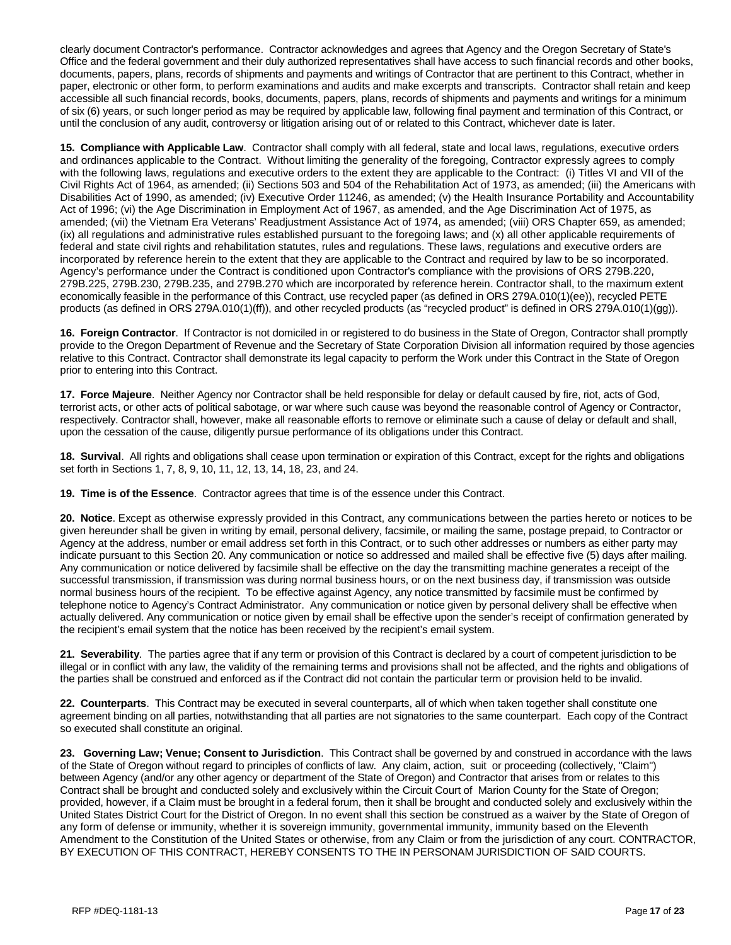clearly document Contractor's performance. Contractor acknowledges and agrees that Agency and the Oregon Secretary of State's Office and the federal government and their duly authorized representatives shall have access to such financial records and other books, documents, papers, plans, records of shipments and payments and writings of Contractor that are pertinent to this Contract, whether in paper, electronic or other form, to perform examinations and audits and make excerpts and transcripts. Contractor shall retain and keep accessible all such financial records, books, documents, papers, plans, records of shipments and payments and writings for a minimum of six (6) years, or such longer period as may be required by applicable law, following final payment and termination of this Contract, or until the conclusion of any audit, controversy or litigation arising out of or related to this Contract, whichever date is later.

**15. Compliance with Applicable Law**. Contractor shall comply with all federal, state and local laws, regulations, executive orders and ordinances applicable to the Contract. Without limiting the generality of the foregoing, Contractor expressly agrees to comply with the following laws, regulations and executive orders to the extent they are applicable to the Contract: (i) Titles VI and VII of the Civil Rights Act of 1964, as amended; (ii) Sections 503 and 504 of the Rehabilitation Act of 1973, as amended; (iii) the Americans with Disabilities Act of 1990, as amended; (iv) Executive Order 11246, as amended; (v) the Health Insurance Portability and Accountability Act of 1996; (vi) the Age Discrimination in Employment Act of 1967, as amended, and the Age Discrimination Act of 1975, as amended; (vii) the Vietnam Era Veterans' Readjustment Assistance Act of 1974, as amended; (viii) ORS Chapter 659, as amended; (ix) all regulations and administrative rules established pursuant to the foregoing laws; and (x) all other applicable requirements of federal and state civil rights and rehabilitation statutes, rules and regulations. These laws, regulations and executive orders are incorporated by reference herein to the extent that they are applicable to the Contract and required by law to be so incorporated. Agency's performance under the Contract is conditioned upon Contractor's compliance with the provisions of ORS 279B.220, 279B.225, 279B.230, 279B.235, and 279B.270 which are incorporated by reference herein. Contractor shall, to the maximum extent economically feasible in the performance of this Contract, use recycled paper (as defined in ORS 279A.010(1)(ee)), recycled PETE products (as defined in ORS 279A.010(1)(ff)), and other recycled products (as "recycled product" is defined in ORS 279A.010(1)(gg)).

**16. Foreign Contractor**. If Contractor is not domiciled in or registered to do business in the State of Oregon, Contractor shall promptly provide to the Oregon Department of Revenue and the Secretary of State Corporation Division all information required by those agencies relative to this Contract. Contractor shall demonstrate its legal capacity to perform the Work under this Contract in the State of Oregon prior to entering into this Contract.

**17. Force Majeure**. Neither Agency nor Contractor shall be held responsible for delay or default caused by fire, riot, acts of God, terrorist acts, or other acts of political sabotage, or war where such cause was beyond the reasonable control of Agency or Contractor, respectively. Contractor shall, however, make all reasonable efforts to remove or eliminate such a cause of delay or default and shall, upon the cessation of the cause, diligently pursue performance of its obligations under this Contract.

**18. Survival**. All rights and obligations shall cease upon termination or expiration of this Contract, except for the rights and obligations set forth in Sections 1, 7, 8, 9, 10, 11, 12, 13, 14, 18, 23, and 24.

**19. Time is of the Essence**. Contractor agrees that time is of the essence under this Contract.

**20. Notice**. Except as otherwise expressly provided in this Contract, any communications between the parties hereto or notices to be given hereunder shall be given in writing by email, personal delivery, facsimile, or mailing the same, postage prepaid, to Contractor or Agency at the address, number or email address set forth in this Contract, or to such other addresses or numbers as either party may indicate pursuant to this Section 20. Any communication or notice so addressed and mailed shall be effective five (5) days after mailing. Any communication or notice delivered by facsimile shall be effective on the day the transmitting machine generates a receipt of the successful transmission, if transmission was during normal business hours, or on the next business day, if transmission was outside normal business hours of the recipient. To be effective against Agency, any notice transmitted by facsimile must be confirmed by telephone notice to Agency's Contract Administrator. Any communication or notice given by personal delivery shall be effective when actually delivered. Any communication or notice given by email shall be effective upon the sender's receipt of confirmation generated by the recipient's email system that the notice has been received by the recipient's email system.

**21. Severability**. The parties agree that if any term or provision of this Contract is declared by a court of competent jurisdiction to be illegal or in conflict with any law, the validity of the remaining terms and provisions shall not be affected, and the rights and obligations of the parties shall be construed and enforced as if the Contract did not contain the particular term or provision held to be invalid.

**22. Counterparts**. This Contract may be executed in several counterparts, all of which when taken together shall constitute one agreement binding on all parties, notwithstanding that all parties are not signatories to the same counterpart. Each copy of the Contract so executed shall constitute an original.

**23. Governing Law; Venue; Consent to Jurisdiction**. This Contract shall be governed by and construed in accordance with the laws of the State of Oregon without regard to principles of conflicts of law. Any claim, action, suit or proceeding (collectively, "Claim") between Agency (and/or any other agency or department of the State of Oregon) and Contractor that arises from or relates to this Contract shall be brought and conducted solely and exclusively within the Circuit Court of Marion County for the State of Oregon; provided, however, if a Claim must be brought in a federal forum, then it shall be brought and conducted solely and exclusively within the United States District Court for the District of Oregon. In no event shall this section be construed as a waiver by the State of Oregon of any form of defense or immunity, whether it is sovereign immunity, governmental immunity, immunity based on the Eleventh Amendment to the Constitution of the United States or otherwise, from any Claim or from the jurisdiction of any court. CONTRACTOR, BY EXECUTION OF THIS CONTRACT, HEREBY CONSENTS TO THE IN PERSONAM JURISDICTION OF SAID COURTS.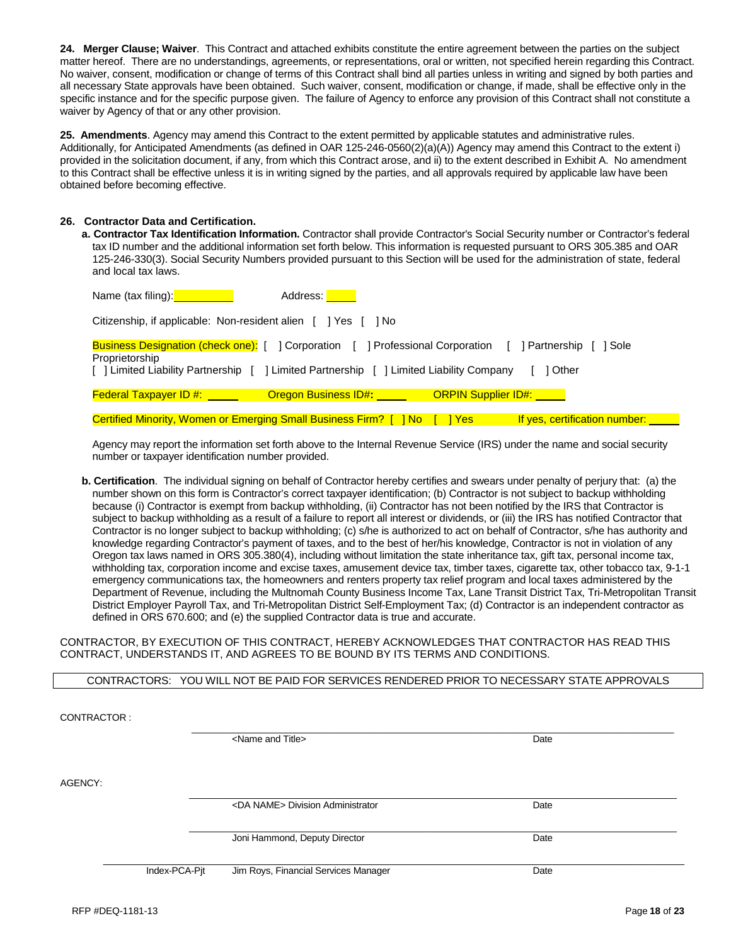**24. Merger Clause; Waiver**. This Contract and attached exhibits constitute the entire agreement between the parties on the subject matter hereof. There are no understandings, agreements, or representations, oral or written, not specified herein regarding this Contract. No waiver, consent, modification or change of terms of this Contract shall bind all parties unless in writing and signed by both parties and all necessary State approvals have been obtained. Such waiver, consent, modification or change, if made, shall be effective only in the specific instance and for the specific purpose given. The failure of Agency to enforce any provision of this Contract shall not constitute a waiver by Agency of that or any other provision.

**25. Amendments**. Agency may amend this Contract to the extent permitted by applicable statutes and administrative rules. Additionally, for Anticipated Amendments (as defined in OAR 125-246-0560(2)(a)(A)) Agency may amend this Contract to the extent i) provided in the solicitation document, if any, from which this Contract arose, and ii) to the extent described in Exhibit A. No amendment to this Contract shall be effective unless it is in writing signed by the parties, and all approvals required by applicable law have been obtained before becoming effective.

# **26. Contractor Data and Certification.**

**a. Contractor Tax Identification Information.** Contractor shall provide Contractor's Social Security number or Contractor's federal tax ID number and the additional information set forth below. This information is requested pursuant to ORS 305.385 and OAR 125-246-330(3). Social Security Numbers provided pursuant to this Section will be used for the administration of state, federal and local tax laws.

| Name (tax filing): Name (tax filing)                                                                                                                                                                 | Address: No. 1994                |                       |                                  |
|------------------------------------------------------------------------------------------------------------------------------------------------------------------------------------------------------|----------------------------------|-----------------------|----------------------------------|
| Citizenship, if applicable: Non-resident alien [ ] Yes [ ] No                                                                                                                                        |                                  |                       |                                  |
| <b>Business Designation (check one):</b> [ ] Corporation [ ] Professional Corporation [<br>Proprietorship<br>[ ] Limited Liability Partnership [ ] Limited Partnership [ ] Limited Liability Company |                                  |                       | 1 Partnership<br>1 Sole<br>Other |
| <b>Federal Taxpayer ID #:</b> _____                                                                                                                                                                  | <b>Oregon Business ID#:</b> 1997 | ORPIN Supplier ID#: U |                                  |
| <b>Certified Minority, Women or Emerging Small Business Firm?</b> [                                                                                                                                  | <u>I No</u>                      | <u>I Yes</u>          | If yes, certification number:    |

Agency may report the information set forth above to the Internal Revenue Service (IRS) under the name and social security number or taxpayer identification number provided.

**b. Certification**. The individual signing on behalf of Contractor hereby certifies and swears under penalty of perjury that: (a) the number shown on this form is Contractor's correct taxpayer identification; (b) Contractor is not subject to backup withholding because (i) Contractor is exempt from backup withholding, (ii) Contractor has not been notified by the IRS that Contractor is subject to backup withholding as a result of a failure to report all interest or dividends, or (iii) the IRS has notified Contractor that Contractor is no longer subject to backup withholding; (c) s/he is authorized to act on behalf of Contractor, s/he has authority and knowledge regarding Contractor's payment of taxes, and to the best of her/his knowledge, Contractor is not in violation of any Oregon tax laws named in ORS 305.380(4), including without limitation the state inheritance tax, gift tax, personal income tax, withholding tax, corporation income and excise taxes, amusement device tax, timber taxes, cigarette tax, other tobacco tax, 9-1-1 emergency communications tax, the homeowners and renters property tax relief program and local taxes administered by the Department of Revenue, including the Multnomah County Business Income Tax, Lane Transit District Tax, Tri-Metropolitan Transit District Employer Payroll Tax, and Tri-Metropolitan District Self-Employment Tax; (d) Contractor is an independent contractor as defined in ORS 670.600; and (e) the supplied Contractor data is true and accurate.

CONTRACTOR, BY EXECUTION OF THIS CONTRACT, HEREBY ACKNOWLEDGES THAT CONTRACTOR HAS READ THIS CONTRACT, UNDERSTANDS IT, AND AGREES TO BE BOUND BY ITS TERMS AND CONDITIONS.

CONTRACTORS: YOU WILL NOT BE PAID FOR SERVICES RENDERED PRIOR TO NECESSARY STATE APPROVALS

| CONTRACTOR: |               |                                          |      |
|-------------|---------------|------------------------------------------|------|
|             |               | <name and="" title=""></name>            | Date |
| AGENCY:     |               | <da name=""> Division Administrator</da> | Date |
|             |               | Joni Hammond, Deputy Director            | Date |
|             | Index-PCA-Pjt | Jim Roys, Financial Services Manager     | Date |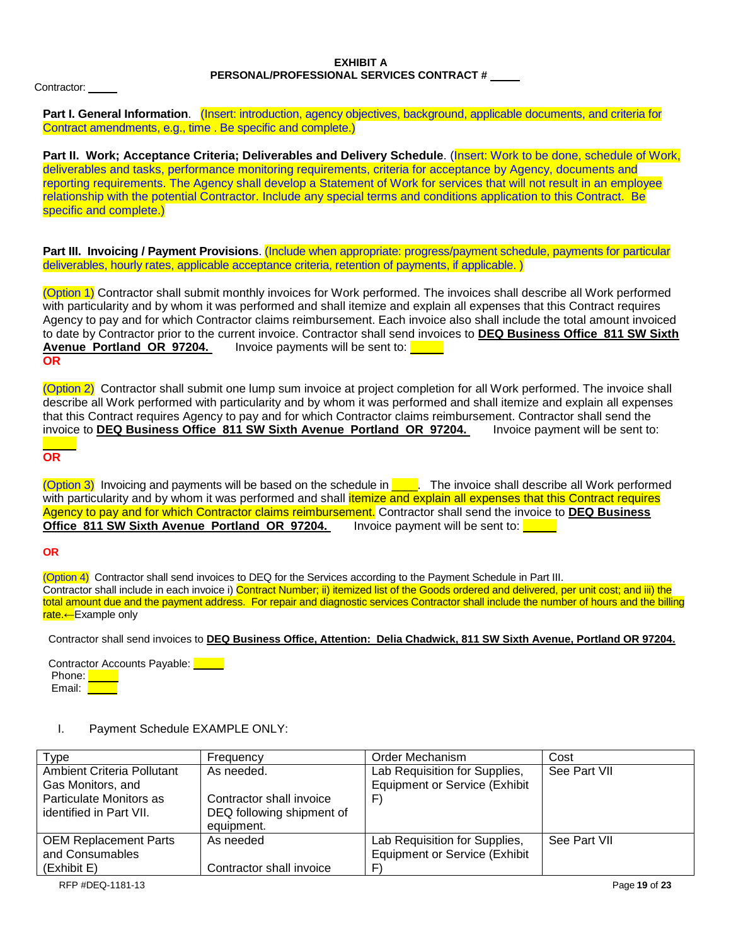#### **EXHIBIT A PERSONAL/PROFESSIONAL SERVICES CONTRACT #**

Contractor:

**Part I. General Information**. (Insert: introduction, agency objectives, background, applicable documents, and criteria for Contract amendments, e.g., time . Be specific and complete.)

**Part II. Work; Acceptance Criteria; Deliverables and Delivery Schedule**. (Insert: Work to be done, schedule of Work, deliverables and tasks, performance monitoring requirements, criteria for acceptance by Agency, documents and reporting requirements. The Agency shall develop a Statement of Work for services that will not result in an employee relationship with the potential Contractor. Include any special terms and conditions application to this Contract. Be specific and complete.)

**Part III. Invoicing / Payment Provisions**. (Include when appropriate: progress/payment schedule, payments for particular deliverables, hourly rates, applicable acceptance criteria, retention of payments, if applicable.)

(Option 1) Contractor shall submit monthly invoices for Work performed. The invoices shall describe all Work performed with particularity and by whom it was performed and shall itemize and explain all expenses that this Contract requires Agency to pay and for which Contractor claims reimbursement. Each invoice also shall include the total amount invoiced to date by Contractor prior to the current invoice. Contractor shall send invoices to **DEQ Business Office 811 SW Sixth**  Avenue Portland OR 97204. **OR**

(Option 2) Contractor shall submit one lump sum invoice at project completion for all Work performed. The invoice shall describe all Work performed with particularity and by whom it was performed and shall itemize and explain all expenses that this Contract requires Agency to pay and for which Contractor claims reimbursement. Contractor shall send the<br>invoice to **DEQ Business Office 811 SW Sixth Avenue Portland OR 97204.** Invoice payment will be sent to: invoice to **DEQ Business Office 811 SW Sixth Avenue Portland OR 97204.** 

**OR**

(Option 3) Invoicing and payments will be based on the schedule in  $\Box$ . The invoice shall describe all Work performed with particularity and by whom it was performed and shall *itemize and explain all expenses that this Contract requires* Agency to pay and for which Contractor claims reimbursement. Contractor shall send the invoice to **DEQ Business Office 811 SW Sixth Avenue Portland OR 97204.** 

# **OR**

(Option 4) Contractor shall send invoices to DEQ for the Services according to the Payment Schedule in Part III. Contractor shall include in each invoice i) Contract Number; ii) itemized list of the Goods ordered and delivered, per unit cost; and iii) the total amount due and the payment address. For repair and diagnostic services Contractor shall include the number of hours and the billing nate.←Example only

Contractor shall send invoices to **DEQ Business Office, Attention: Delia Chadwick, 811 SW Sixth Avenue, Portland OR 97204.** 

Contractor Accounts Payable: **Discussion** Phone: **Phone** Email: **T** 

# I. Payment Schedule EXAMPLE ONLY:

| Type                         | Frequency                 | Order Mechanism                      | Cost         |
|------------------------------|---------------------------|--------------------------------------|--------------|
| Ambient Criteria Pollutant   | As needed.                | Lab Requisition for Supplies,        | See Part VII |
| Gas Monitors, and            |                           | <b>Equipment or Service (Exhibit</b> |              |
| Particulate Monitors as      | Contractor shall invoice  | F                                    |              |
| identified in Part VII.      | DEQ following shipment of |                                      |              |
|                              | equipment.                |                                      |              |
| <b>OEM Replacement Parts</b> | As needed                 | Lab Requisition for Supplies,        | See Part VII |
| and Consumables              |                           | <b>Equipment or Service (Exhibit</b> |              |
| (Exhibit E)                  | Contractor shall invoice  | F                                    |              |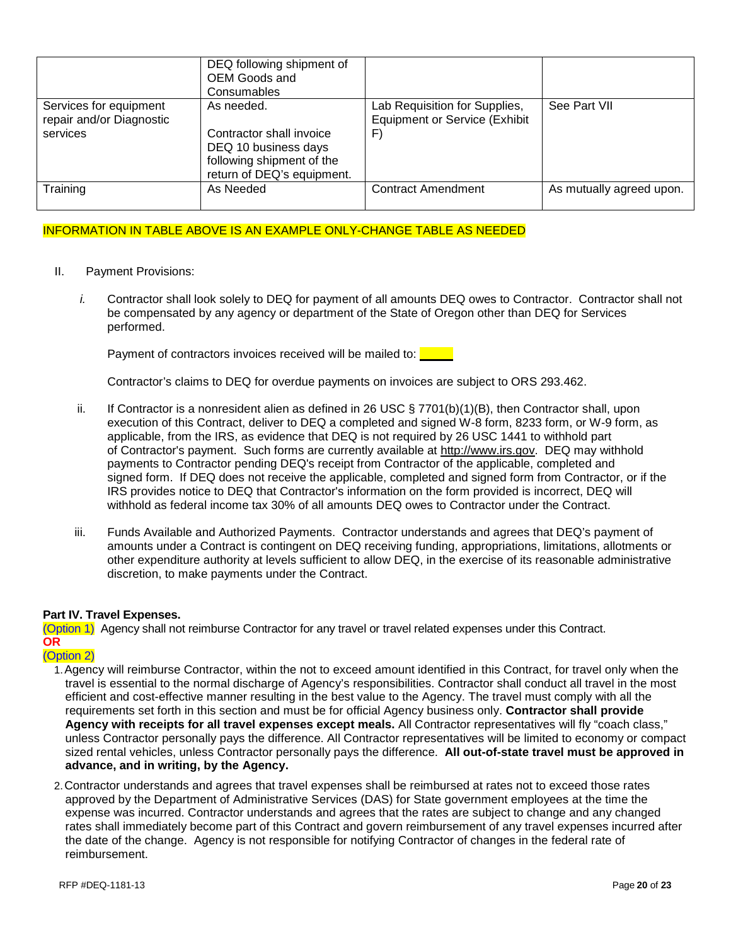|                                                                | DEQ following shipment of<br>OEM Goods and<br>Consumables                                                                 |                                                                            |                          |
|----------------------------------------------------------------|---------------------------------------------------------------------------------------------------------------------------|----------------------------------------------------------------------------|--------------------------|
| Services for equipment<br>repair and/or Diagnostic<br>services | As needed.<br>Contractor shall invoice<br>DEQ 10 business days<br>following shipment of the<br>return of DEQ's equipment. | Lab Requisition for Supplies,<br><b>Equipment or Service (Exhibit</b><br>F | See Part VII             |
| Training                                                       | As Needed                                                                                                                 | Contract Amendment                                                         | As mutually agreed upon. |

# INFORMATION IN TABLE ABOVE IS AN EXAMPLE ONLY-CHANGE TABLE AS NEEDED

- II. Payment Provisions:
	- *i.* Contractor shall look solely to DEQ for payment of all amounts DEQ owes to Contractor. Contractor shall not be compensated by any agency or department of the State of Oregon other than DEQ for Services performed.

Payment of contractors invoices received will be mailed to:

Contractor's claims to DEQ for overdue payments on invoices are subject to ORS 293.462.

- ii. If Contractor is a nonresident alien as defined in 26 USC  $\S$  7701(b)(1)(B), then Contractor shall, upon execution of this Contract, deliver to DEQ a completed and signed W-8 form, 8233 form, or W-9 form, as applicable, from the IRS, as evidence that DEQ is not required by 26 USC 1441 to withhold part of Contractor's payment. Such forms are currently available at [http://www.irs.gov.](http://www.irs.gov/) DEQ may withhold payments to Contractor pending DEQ's receipt from Contractor of the applicable, completed and signed form. If DEQ does not receive the applicable, completed and signed form from Contractor, or if the IRS provides notice to DEQ that Contractor's information on the form provided is incorrect, DEQ will withhold as federal income tax 30% of all amounts DEQ owes to Contractor under the Contract.
- iii. Funds Available and Authorized Payments. Contractor understands and agrees that DEQ's payment of amounts under a Contract is contingent on DEQ receiving funding, appropriations, limitations, allotments or other expenditure authority at levels sufficient to allow DEQ, in the exercise of its reasonable administrative discretion, to make payments under the Contract.

# **Part IV. Travel Expenses.**

(Option 1) Agency shall not reimburse Contractor for any travel or travel related expenses under this Contract. **OR**

# (Option 2)

- 1.Agency will reimburse Contractor, within the not to exceed amount identified in this Contract, for travel only when the travel is essential to the normal discharge of Agency's responsibilities. Contractor shall conduct all travel in the most efficient and cost-effective manner resulting in the best value to the Agency. The travel must comply with all the requirements set forth in this section and must be for official Agency business only. **Contractor shall provide Agency with receipts for all travel expenses except meals.** All Contractor representatives will fly "coach class," unless Contractor personally pays the difference. All Contractor representatives will be limited to economy or compact sized rental vehicles, unless Contractor personally pays the difference. **All out-of-state travel must be approved in advance, and in writing, by the Agency.**
- 2.Contractor understands and agrees that travel expenses shall be reimbursed at rates not to exceed those rates approved by the Department of Administrative Services (DAS) for State government employees at the time the expense was incurred. Contractor understands and agrees that the rates are subject to change and any changed rates shall immediately become part of this Contract and govern reimbursement of any travel expenses incurred after the date of the change. Agency is not responsible for notifying Contractor of changes in the federal rate of reimbursement.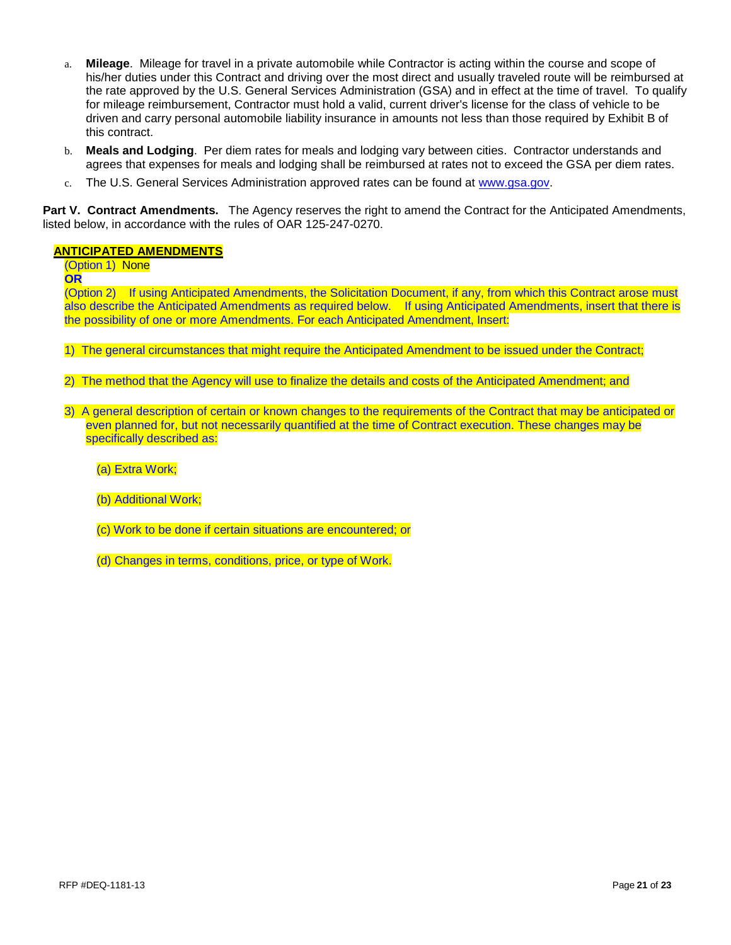- a. **Mileage**. Mileage for travel in a private automobile while Contractor is acting within the course and scope of his/her duties under this Contract and driving over the most direct and usually traveled route will be reimbursed at the rate approved by the U.S. General Services Administration (GSA) and in effect at the time of travel. To qualify for mileage reimbursement, Contractor must hold a valid, current driver's license for the class of vehicle to be driven and carry personal automobile liability insurance in amounts not less than those required by Exhibit B of this contract.
- b. **Meals and Lodging**. Per diem rates for meals and lodging vary between cities. Contractor understands and agrees that expenses for meals and lodging shall be reimbursed at rates not to exceed the GSA per diem rates.
- c. The U.S. General Services Administration approved rates can be found at [www.gsa.gov.](http://www.gsa.gov/)

**Part V. Contract Amendments.** The Agency reserves the right to amend the Contract for the Anticipated Amendments, listed below, in accordance with the rules of OAR 125-247-0270.

# **ANTICIPATED AMENDMENTS**

(Option 1) None

**OR**

(Option 2) If using Anticipated Amendments, the Solicitation Document, if any, from which this Contract arose must also describe the Anticipated Amendments as required below. If using Anticipated Amendments, insert that there is the possibility of one or more Amendments. For each Anticipated Amendment, Insert:

- 1) The general circumstances that might require the Anticipated Amendment to be issued under the Contract;
- 2) The method that the Agency will use to finalize the details and costs of the Anticipated Amendment; and
- 3) A general description of certain or known changes to the requirements of the Contract that may be anticipated or even planned for, but not necessarily quantified at the time of Contract execution. These changes may be specifically described as:
	- (a) Extra Work;
	- (b) Additional Work;
	- (c) Work to be done if certain situations are encountered; or
	- (d) Changes in terms, conditions, price, or type of Work.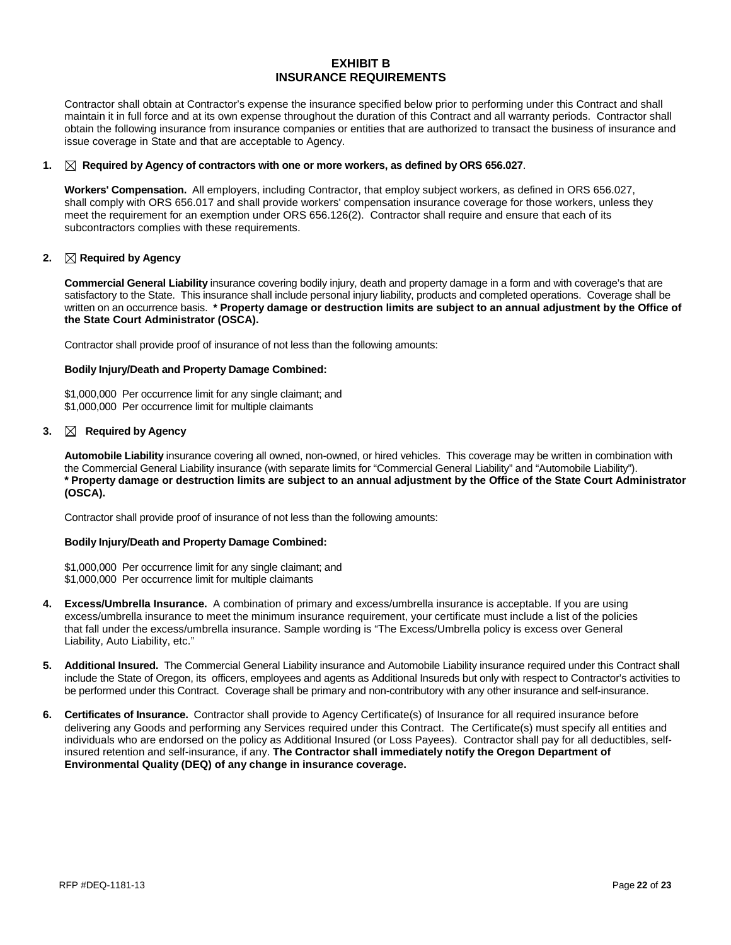### **EXHIBIT B INSURANCE REQUIREMENTS**

Contractor shall obtain at Contractor's expense the insurance specified below prior to performing under this Contract and shall maintain it in full force and at its own expense throughout the duration of this Contract and all warranty periods. Contractor shall obtain the following insurance from insurance companies or entities that are authorized to transact the business of insurance and issue coverage in State and that are acceptable to Agency.

#### **1. Required by Agency of contractors with one or more workers, as defined by ORS 656.027**.

**Workers' Compensation.** All employers, including Contractor, that employ subject workers, as defined in ORS 656.027, shall comply with ORS 656.017 and shall provide workers' compensation insurance coverage for those workers, unless they meet the requirement for an exemption under ORS 656.126(2). Contractor shall require and ensure that each of its subcontractors complies with these requirements.

#### **2. Required by Agency**

**Commercial General Liability** insurance covering bodily injury, death and property damage in a form and with coverage's that are satisfactory to the State. This insurance shall include personal injury liability, products and completed operations. Coverage shall be written on an occurrence basis. **\* Property damage or destruction limits are subject to an annual adjustment by the Office of the State Court Administrator (OSCA).**

Contractor shall provide proof of insurance of not less than the following amounts:

#### **Bodily Injury/Death and Property Damage Combined:**

\$1,000,000 Per occurrence limit for any single claimant; and \$1,000,000 Per occurrence limit for multiple claimants

#### 3.  $\boxtimes$  Required by Agency

**Automobile Liability** insurance covering all owned, non-owned, or hired vehicles. This coverage may be written in combination with the Commercial General Liability insurance (with separate limits for "Commercial General Liability" and "Automobile Liability"). **\* Property damage or destruction limits are subject to an annual adjustment by the Office of the State Court Administrator (OSCA).** 

Contractor shall provide proof of insurance of not less than the following amounts:

#### **Bodily Injury/Death and Property Damage Combined:**

\$1,000,000 Per occurrence limit for any single claimant; and \$1,000,000 Per occurrence limit for multiple claimants

- **4. Excess/Umbrella Insurance.** A combination of primary and excess/umbrella insurance is acceptable. If you are using excess/umbrella insurance to meet the minimum insurance requirement, your certificate must include a list of the policies that fall under the excess/umbrella insurance. Sample wording is "The Excess/Umbrella policy is excess over General Liability, Auto Liability, etc."
- **5. Additional Insured.** The Commercial General Liability insurance and Automobile Liability insurance required under this Contract shall include the State of Oregon, its officers, employees and agents as Additional Insureds but only with respect to Contractor's activities to be performed under this Contract. Coverage shall be primary and non-contributory with any other insurance and self-insurance.
- **6. Certificates of Insurance.** Contractor shall provide to Agency Certificate(s) of Insurance for all required insurance before delivering any Goods and performing any Services required under this Contract. The Certificate(s) must specify all entities and individuals who are endorsed on the policy as Additional Insured (or Loss Payees). Contractor shall pay for all deductibles, selfinsured retention and self-insurance, if any. **The Contractor shall immediately notify the Oregon Department of Environmental Quality (DEQ) of any change in insurance coverage.**